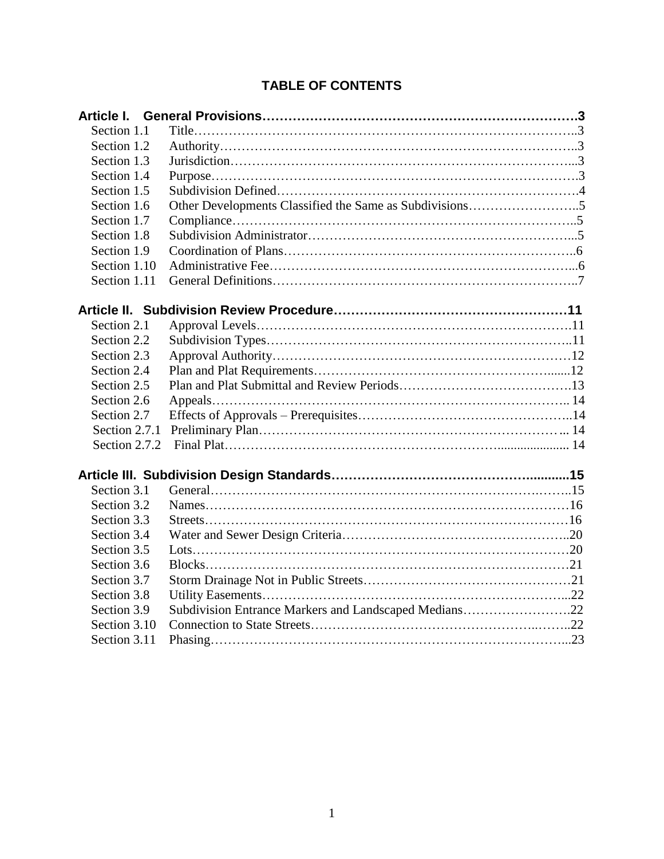# **TABLE OF CONTENTS**

| Section 1.1   |                                                       |  |
|---------------|-------------------------------------------------------|--|
| Section 1.2   |                                                       |  |
| Section 1.3   |                                                       |  |
| Section 1.4   |                                                       |  |
| Section 1.5   |                                                       |  |
| Section 1.6   |                                                       |  |
| Section 1.7   |                                                       |  |
| Section 1.8   |                                                       |  |
| Section 1.9   |                                                       |  |
| Section 1.10  |                                                       |  |
| Section 1.11  |                                                       |  |
|               |                                                       |  |
| Section 2.1   |                                                       |  |
| Section 2.2   |                                                       |  |
| Section 2.3   |                                                       |  |
| Section 2.4   |                                                       |  |
| Section 2.5   |                                                       |  |
| Section 2.6   |                                                       |  |
| Section 2.7   |                                                       |  |
| Section 2.7.1 |                                                       |  |
| Section 2.7.2 |                                                       |  |
|               |                                                       |  |
| Section 3.1   |                                                       |  |
| Section 3.2   |                                                       |  |
| Section 3.3   |                                                       |  |
| Section 3.4   |                                                       |  |
| Section 3.5   |                                                       |  |
| Section 3.6   |                                                       |  |
| Section 3.7   |                                                       |  |
| Section 3.8   |                                                       |  |
| Section 3.9   | Subdivision Entrance Markers and Landscaped Medians22 |  |
| Section 3.10  |                                                       |  |
| Section 3.11  |                                                       |  |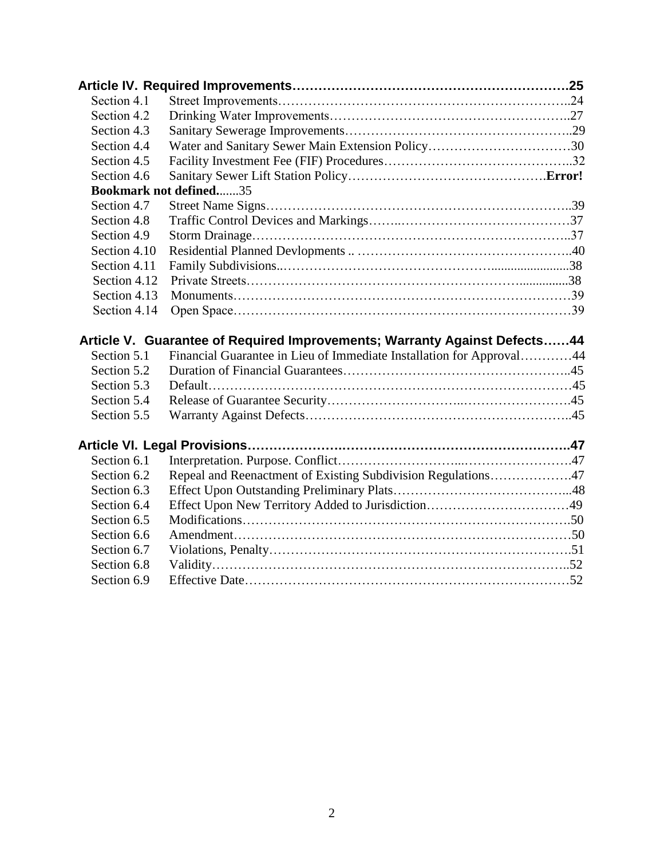| Section 4.1                |                                                                                                                                                   |  |
|----------------------------|---------------------------------------------------------------------------------------------------------------------------------------------------|--|
| Section 4.2                |                                                                                                                                                   |  |
| Section 4.3                |                                                                                                                                                   |  |
| Section 4.4                |                                                                                                                                                   |  |
| Section 4.5                |                                                                                                                                                   |  |
| Section 4.6                |                                                                                                                                                   |  |
|                            | <b>Bookmark not defined35</b>                                                                                                                     |  |
| Section 4.7                |                                                                                                                                                   |  |
| Section 4.8                |                                                                                                                                                   |  |
| Section 4.9                |                                                                                                                                                   |  |
| Section 4.10               |                                                                                                                                                   |  |
| Section 4.11               |                                                                                                                                                   |  |
| Section 4.12               |                                                                                                                                                   |  |
| Section 4.13               |                                                                                                                                                   |  |
| Section 4.14               |                                                                                                                                                   |  |
|                            |                                                                                                                                                   |  |
| Section 5.1<br>Section 5.2 | Article V. Guarantee of Required Improvements; Warranty Against Defects44<br>Financial Guarantee in Lieu of Immediate Installation for Approval44 |  |
| Section 5.3                |                                                                                                                                                   |  |
| Section 5.4                |                                                                                                                                                   |  |
| Section 5.5                |                                                                                                                                                   |  |
|                            |                                                                                                                                                   |  |
| Section 6.1                |                                                                                                                                                   |  |
| Section 6.2                |                                                                                                                                                   |  |
| Section 6.3                | Repeal and Reenactment of Existing Subdivision Regulations47                                                                                      |  |
| Section 6.4                |                                                                                                                                                   |  |
| Section 6.5                | Effect Upon New Territory Added to Jurisdiction49                                                                                                 |  |
| Section 6.6                |                                                                                                                                                   |  |
| Section 6.7                |                                                                                                                                                   |  |
| Section 6.8                |                                                                                                                                                   |  |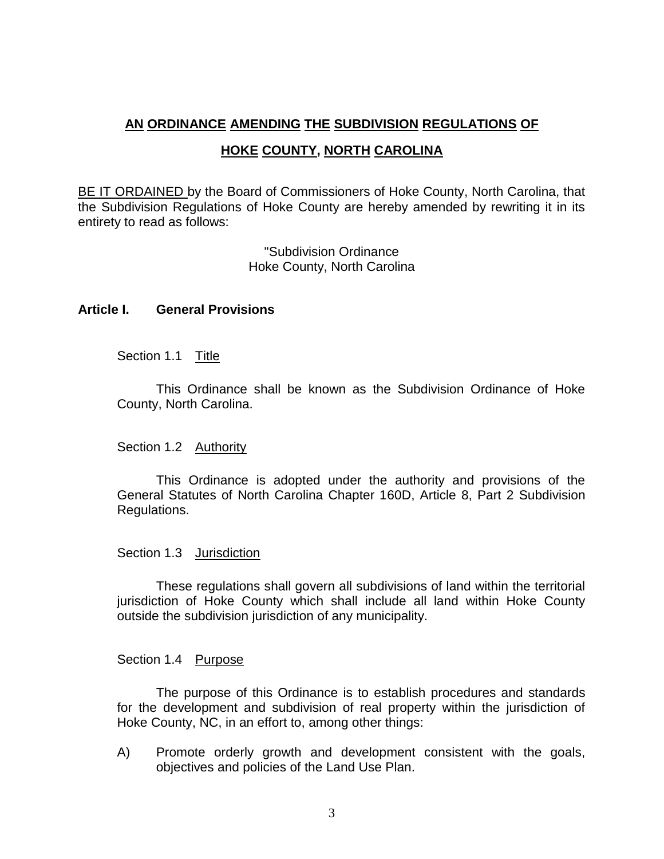# **AN ORDINANCE AMENDING THE SUBDIVISION REGULATIONS OF HOKE COUNTY, NORTH CAROLINA**

BE IT ORDAINED by the Board of Commissioners of Hoke County, North Carolina, that the Subdivision Regulations of Hoke County are hereby amended by rewriting it in its entirety to read as follows:

> "Subdivision Ordinance Hoke County, North Carolina

## <span id="page-2-1"></span><span id="page-2-0"></span>**Article I. General Provisions**

Section 1.1 Title

This Ordinance shall be known as the Subdivision Ordinance of Hoke County, North Carolina.

## <span id="page-2-2"></span>Section 1.2 Authority

This Ordinance is adopted under the authority and provisions of the General Statutes of North Carolina Chapter 160D, Article 8, Part 2 Subdivision Regulations.

## <span id="page-2-3"></span>Section 1.3 Jurisdiction

These regulations shall govern all subdivisions of land within the territorial jurisdiction of Hoke County which shall include all land within Hoke County outside the subdivision jurisdiction of any municipality.

## <span id="page-2-4"></span>Section 1.4 Purpose

The purpose of this Ordinance is to establish procedures and standards for the development and subdivision of real property within the jurisdiction of Hoke County, NC, in an effort to, among other things:

A) Promote orderly growth and development consistent with the goals, objectives and policies of the Land Use Plan.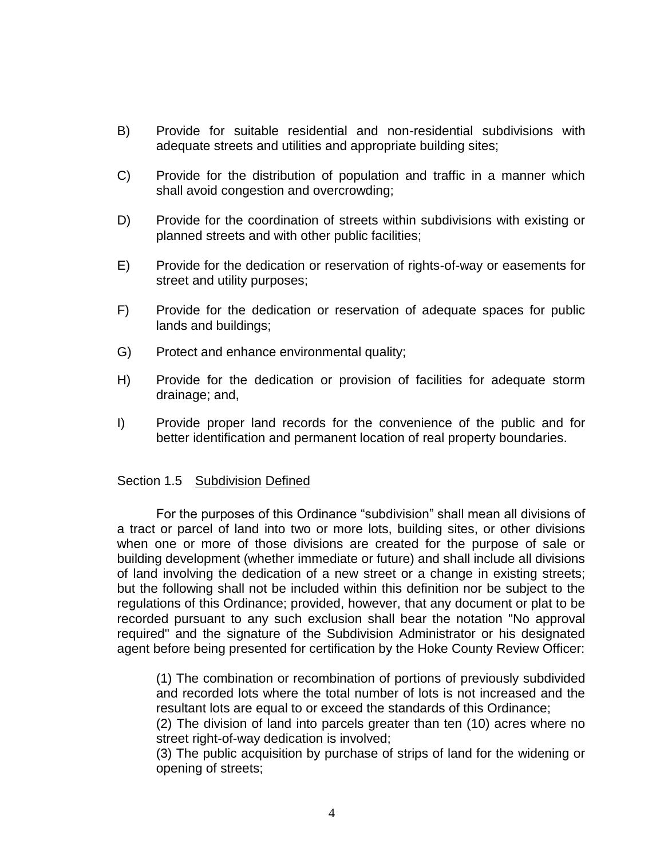- B) Provide for suitable residential and non-residential subdivisions with adequate streets and utilities and appropriate building sites;
- C) Provide for the distribution of population and traffic in a manner which shall avoid congestion and overcrowding;
- D) Provide for the coordination of streets within subdivisions with existing or planned streets and with other public facilities;
- E) Provide for the dedication or reservation of rights-of-way or easements for street and utility purposes;
- F) Provide for the dedication or reservation of adequate spaces for public lands and buildings;
- G) Protect and enhance environmental quality;
- H) Provide for the dedication or provision of facilities for adequate storm drainage; and,
- I) Provide proper land records for the convenience of the public and for better identification and permanent location of real property boundaries.

#### <span id="page-3-0"></span>Section 1.5 Subdivision Defined

For the purposes of this Ordinance "subdivision" shall mean all divisions of a tract or parcel of land into two or more lots, building sites, or other divisions when one or more of those divisions are created for the purpose of sale or building development (whether immediate or future) and shall include all divisions of land involving the dedication of a new street or a change in existing streets; but the following shall not be included within this definition nor be subject to the regulations of this Ordinance; provided, however, that any document or plat to be recorded pursuant to any such exclusion shall bear the notation "No approval required" and the signature of the Subdivision Administrator or his designated agent before being presented for certification by the Hoke County Review Officer:

(1) The combination or recombination of portions of previously subdivided and recorded lots where the total number of lots is not increased and the resultant lots are equal to or exceed the standards of this Ordinance;

(2) The division of land into parcels greater than ten (10) acres where no street right-of-way dedication is involved;

(3) The public acquisition by purchase of strips of land for the widening or opening of streets;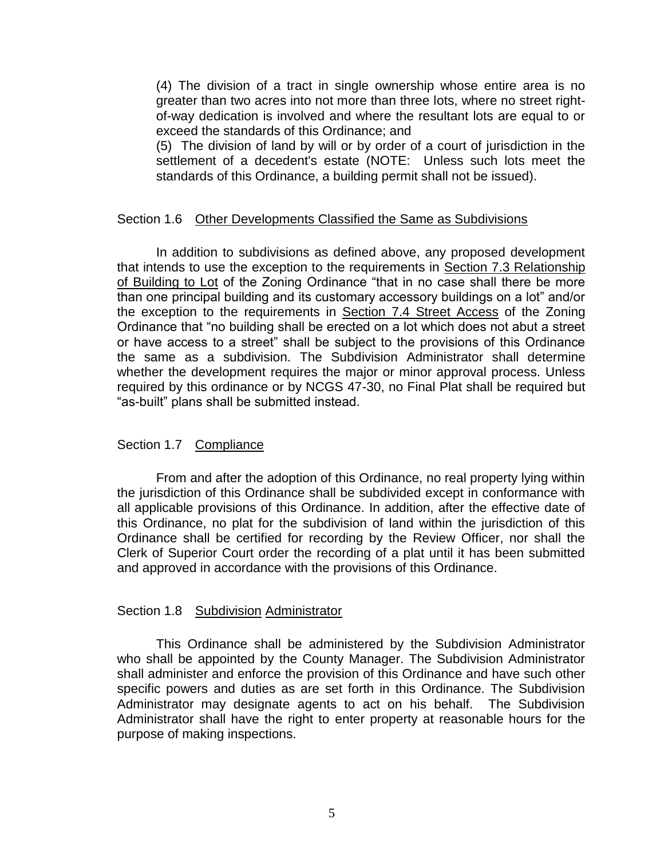(4) The division of a tract in single ownership whose entire area is no greater than two acres into not more than three lots, where no street rightof-way dedication is involved and where the resultant lots are equal to or exceed the standards of this Ordinance; and

(5) The division of land by will or by order of a court of jurisdiction in the settlement of a decedent's estate (NOTE: Unless such lots meet the standards of this Ordinance, a building permit shall not be issued).

## <span id="page-4-0"></span>Section 1.6 Other Developments Classified the Same as Subdivisions

In addition to subdivisions as defined above, any proposed development that intends to use the exception to the requirements in Section 7.3 Relationship of Building to Lot of the Zoning Ordinance "that in no case shall there be more than one principal building and its customary accessory buildings on a lot" and/or the exception to the requirements in Section 7.4 Street Access of the Zoning Ordinance that "no building shall be erected on a lot which does not abut a street or have access to a street" shall be subject to the provisions of this Ordinance the same as a subdivision. The Subdivision Administrator shall determine whether the development requires the major or minor approval process. Unless required by this ordinance or by NCGS 47-30, no Final Plat shall be required but "as-built" plans shall be submitted instead.

## <span id="page-4-1"></span>Section 1.7 Compliance

From and after the adoption of this Ordinance, no real property lying within the jurisdiction of this Ordinance shall be subdivided except in conformance with all applicable provisions of this Ordinance. In addition, after the effective date of this Ordinance, no plat for the subdivision of land within the jurisdiction of this Ordinance shall be certified for recording by the Review Officer, nor shall the Clerk of Superior Court order the recording of a plat until it has been submitted and approved in accordance with the provisions of this Ordinance.

## <span id="page-4-2"></span>Section 1.8 Subdivision Administrator

This Ordinance shall be administered by the Subdivision Administrator who shall be appointed by the County Manager. The Subdivision Administrator shall administer and enforce the provision of this Ordinance and have such other specific powers and duties as are set forth in this Ordinance. The Subdivision Administrator may designate agents to act on his behalf. The Subdivision Administrator shall have the right to enter property at reasonable hours for the purpose of making inspections.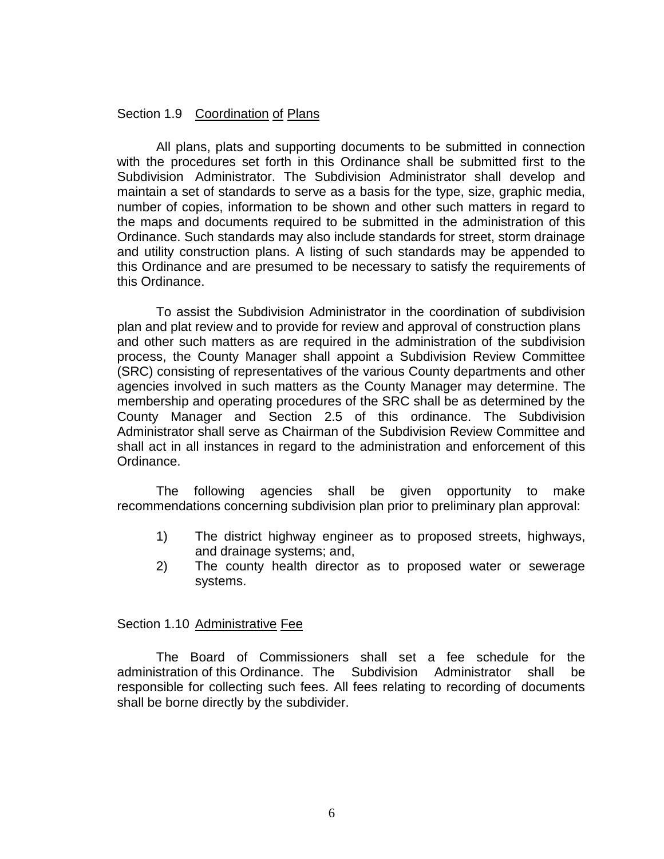## <span id="page-5-0"></span>Section 1.9 Coordination of Plans

All plans, plats and supporting documents to be submitted in connection with the procedures set forth in this Ordinance shall be submitted first to the Subdivision Administrator. The Subdivision Administrator shall develop and maintain a set of standards to serve as a basis for the type, size, graphic media, number of copies, information to be shown and other such matters in regard to the maps and documents required to be submitted in the administration of this Ordinance. Such standards may also include standards for street, storm drainage and utility construction plans. A listing of such standards may be appended to this Ordinance and are presumed to be necessary to satisfy the requirements of this Ordinance.

To assist the Subdivision Administrator in the coordination of subdivision plan and plat review and to provide for review and approval of construction plans and other such matters as are required in the administration of the subdivision process, the County Manager shall appoint a Subdivision Review Committee (SRC) consisting of representatives of the various County departments and other agencies involved in such matters as the County Manager may determine. The membership and operating procedures of the SRC shall be as determined by the County Manager and Section 2.5 of this ordinance. The Subdivision Administrator shall serve as Chairman of the Subdivision Review Committee and shall act in all instances in regard to the administration and enforcement of this Ordinance.

The following agencies shall be given opportunity to make recommendations concerning subdivision plan prior to preliminary plan approval:

- 1) The district highway engineer as to proposed streets, highways, and drainage systems; and,
- 2) The county health director as to proposed water or sewerage systems.

## <span id="page-5-1"></span>Section 1.10 Administrative Fee

The Board of Commissioners shall set a fee schedule for the administration of this Ordinance. The Subdivision Administrator shall be responsible for collecting such fees. All fees relating to recording of documents shall be borne directly by the subdivider.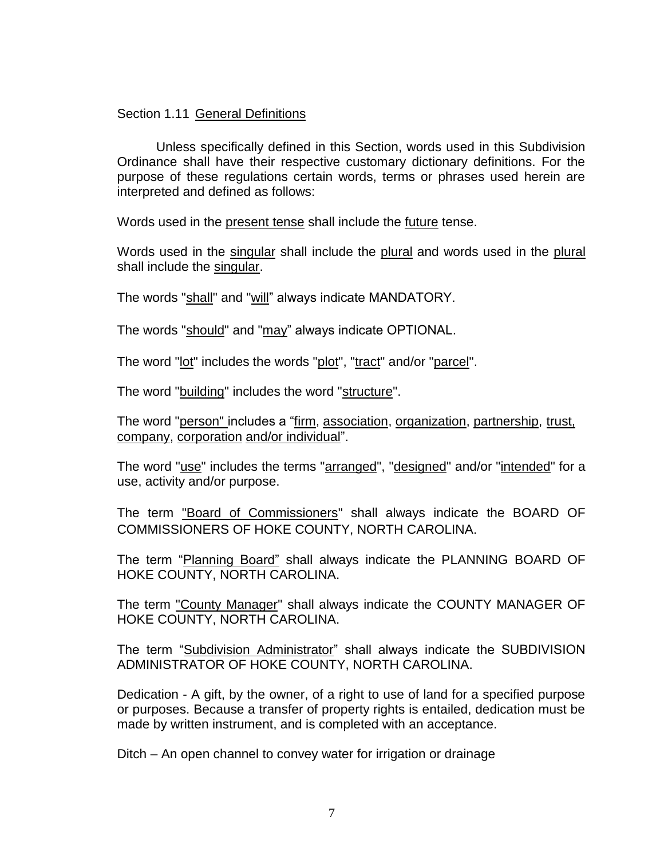## <span id="page-6-0"></span>Section 1.11 General Definitions

Unless specifically defined in this Section, words used in this Subdivision Ordinance shall have their respective customary dictionary definitions. For the purpose of these regulations certain words, terms or phrases used herein are interpreted and defined as follows:

Words used in the present tense shall include the future tense.

Words used in the singular shall include the plural and words used in the plural shall include the singular.

The words "shall" and "will" always indicate MANDATORY.

The words "should" and "may" always indicate OPTIONAL.

The word "lot" includes the words "plot", "tract" and/or "parcel".

The word "building" includes the word "structure".

The word "person" includes a "firm, association, organization, partnership, trust, company, corporation and/or individual".

The word "use" includes the terms "arranged", "designed" and/or "intended" for a use, activity and/or purpose.

The term "Board of Commissioners" shall always indicate the BOARD OF COMMISSIONERS OF HOKE COUNTY, NORTH CAROLINA.

The term "Planning Board" shall always indicate the PLANNING BOARD OF HOKE COUNTY, NORTH CAROLINA.

The term "County Manager" shall always indicate the COUNTY MANAGER OF HOKE COUNTY, NORTH CAROLINA.

The term "Subdivision Administrator" shall always indicate the SUBDIVISION ADMINISTRATOR OF HOKE COUNTY, NORTH CAROLINA.

Dedication - A gift, by the owner, of a right to use of land for a specified purpose or purposes. Because a transfer of property rights is entailed, dedication must be made by written instrument, and is completed with an acceptance.

Ditch – An open channel to convey water for irrigation or drainage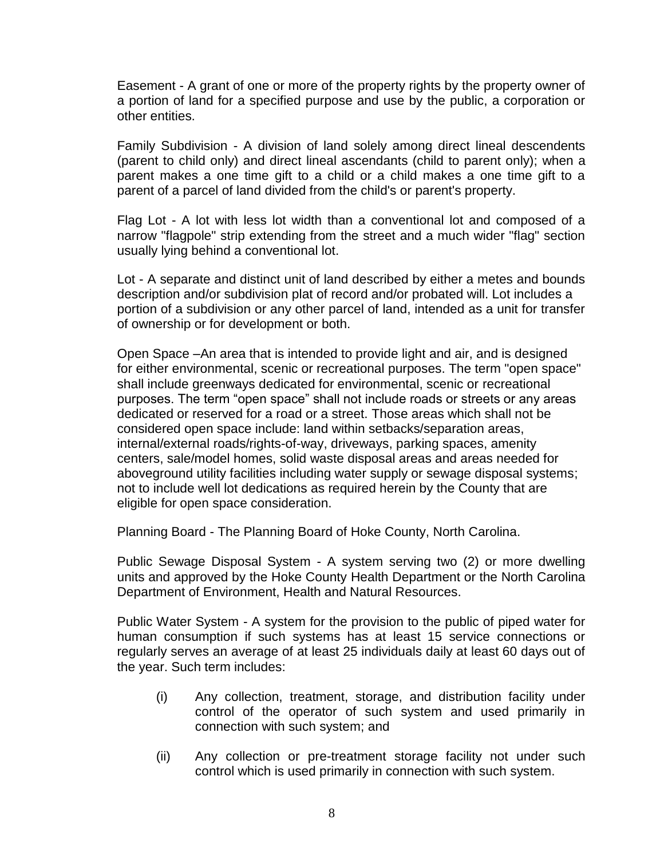Easement - A grant of one or more of the property rights by the property owner of a portion of land for a specified purpose and use by the public, a corporation or other entities.

Family Subdivision - A division of land solely among direct lineal descendents (parent to child only) and direct lineal ascendants (child to parent only); when a parent makes a one time gift to a child or a child makes a one time gift to a parent of a parcel of land divided from the child's or parent's property.

Flag Lot - A lot with less lot width than a conventional lot and composed of a narrow "flagpole" strip extending from the street and a much wider "flag" section usually lying behind a conventional lot.

Lot - A separate and distinct unit of land described by either a metes and bounds description and/or subdivision plat of record and/or probated will. Lot includes a portion of a subdivision or any other parcel of land, intended as a unit for transfer of ownership or for development or both.

Open Space –An area that is intended to provide light and air, and is designed for either environmental, scenic or recreational purposes. The term "open space" shall include greenways dedicated for environmental, scenic or recreational purposes. The term "open space" shall not include roads or streets or any areas dedicated or reserved for a road or a street. Those areas which shall not be considered open space include: land within setbacks/separation areas, internal/external roads/rights-of-way, driveways, parking spaces, amenity centers, sale/model homes, solid waste disposal areas and areas needed for aboveground utility facilities including water supply or sewage disposal systems; not to include well lot dedications as required herein by the County that are eligible for open space consideration.

Planning Board - The Planning Board of Hoke County, North Carolina.

Public Sewage Disposal System - A system serving two (2) or more dwelling units and approved by the Hoke County Health Department or the North Carolina Department of Environment, Health and Natural Resources.

Public Water System - A system for the provision to the public of piped water for human consumption if such systems has at least 15 service connections or regularly serves an average of at least 25 individuals daily at least 60 days out of the year. Such term includes:

- (i) Any collection, treatment, storage, and distribution facility under control of the operator of such system and used primarily in connection with such system; and
- (ii) Any collection or pre-treatment storage facility not under such control which is used primarily in connection with such system.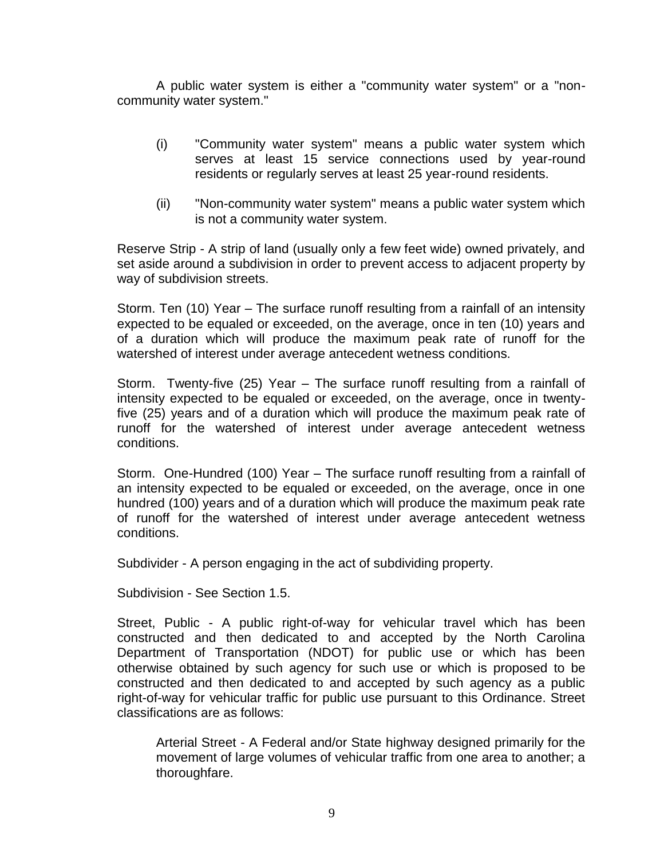A public water system is either a "community water system" or a "noncommunity water system."

- (i) "Community water system" means a public water system which serves at least 15 service connections used by year-round residents or regularly serves at least 25 year-round residents.
- (ii) "Non-community water system" means a public water system which is not a community water system.

Reserve Strip - A strip of land (usually only a few feet wide) owned privately, and set aside around a subdivision in order to prevent access to adjacent property by way of subdivision streets.

Storm. Ten (10) Year – The surface runoff resulting from a rainfall of an intensity expected to be equaled or exceeded, on the average, once in ten (10) years and of a duration which will produce the maximum peak rate of runoff for the watershed of interest under average antecedent wetness conditions.

Storm. Twenty-five (25) Year – The surface runoff resulting from a rainfall of intensity expected to be equaled or exceeded, on the average, once in twentyfive (25) years and of a duration which will produce the maximum peak rate of runoff for the watershed of interest under average antecedent wetness conditions.

Storm. One-Hundred (100) Year – The surface runoff resulting from a rainfall of an intensity expected to be equaled or exceeded, on the average, once in one hundred (100) years and of a duration which will produce the maximum peak rate of runoff for the watershed of interest under average antecedent wetness conditions.

Subdivider - A person engaging in the act of subdividing property.

Subdivision - See Section 1.5.

Street, Public - A public right-of-way for vehicular travel which has been constructed and then dedicated to and accepted by the North Carolina Department of Transportation (NDOT) for public use or which has been otherwise obtained by such agency for such use or which is proposed to be constructed and then dedicated to and accepted by such agency as a public right-of-way for vehicular traffic for public use pursuant to this Ordinance. Street classifications are as follows:

Arterial Street - A Federal and/or State highway designed primarily for the movement of large volumes of vehicular traffic from one area to another; a thoroughfare.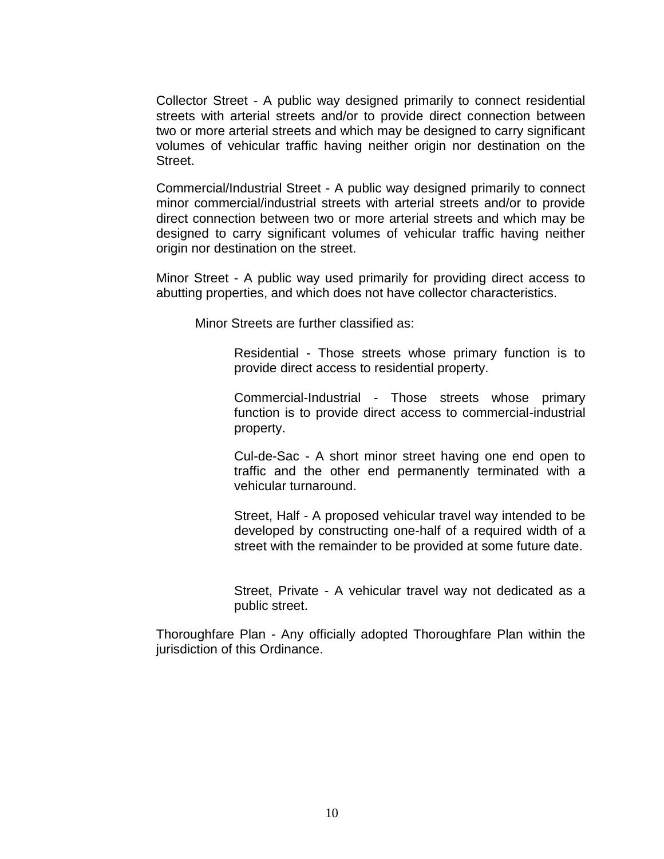Collector Street - A public way designed primarily to connect residential streets with arterial streets and/or to provide direct connection between two or more arterial streets and which may be designed to carry significant volumes of vehicular traffic having neither origin nor destination on the Street.

Commercial/Industrial Street - A public way designed primarily to connect minor commercial/industrial streets with arterial streets and/or to provide direct connection between two or more arterial streets and which may be designed to carry significant volumes of vehicular traffic having neither origin nor destination on the street.

Minor Street - A public way used primarily for providing direct access to abutting properties, and which does not have collector characteristics.

Minor Streets are further classified as:

Residential - Those streets whose primary function is to provide direct access to residential property.

Commercial-Industrial - Those streets whose primary function is to provide direct access to commercial-industrial property.

Cul-de-Sac - A short minor street having one end open to traffic and the other end permanently terminated with a vehicular turnaround.

Street, Half - A proposed vehicular travel way intended to be developed by constructing one-half of a required width of a street with the remainder to be provided at some future date.

Street, Private - A vehicular travel way not dedicated as a public street.

Thoroughfare Plan - Any officially adopted Thoroughfare Plan within the jurisdiction of this Ordinance.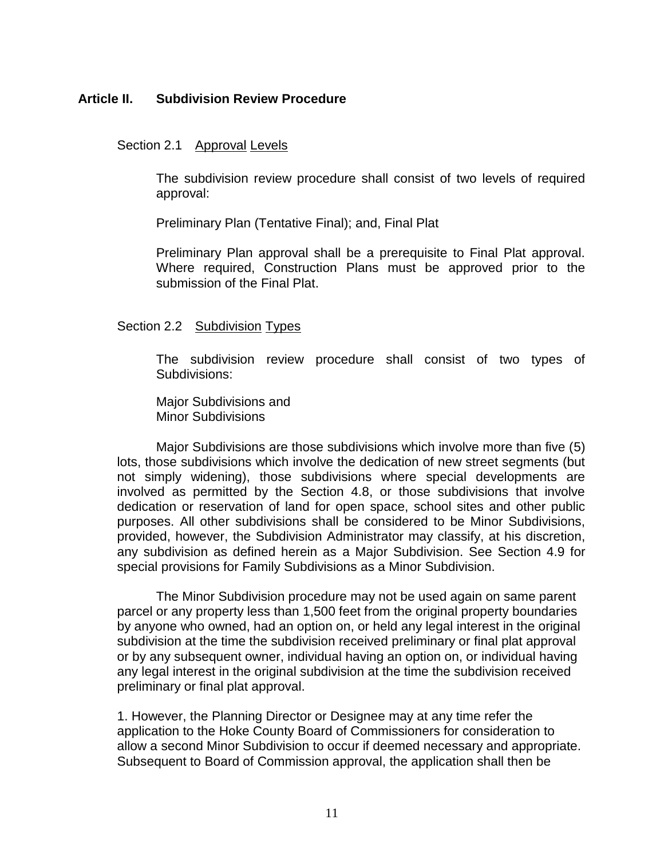## <span id="page-10-1"></span><span id="page-10-0"></span>**Article II. Subdivision Review Procedure**

# Section 2.1 Approval Levels

The subdivision review procedure shall consist of two levels of required approval:

Preliminary Plan (Tentative Final); and, Final Plat

Preliminary Plan approval shall be a prerequisite to Final Plat approval. Where required, Construction Plans must be approved prior to the submission of the Final Plat.

## <span id="page-10-2"></span>Section 2.2 Subdivision Types

The subdivision review procedure shall consist of two types of Subdivisions:

Major Subdivisions and Minor Subdivisions

Major Subdivisions are those subdivisions which involve more than five (5) lots, those subdivisions which involve the dedication of new street segments (but not simply widening), those subdivisions where special developments are involved as permitted by the Section 4.8, or those subdivisions that involve dedication or reservation of land for open space, school sites and other public purposes. All other subdivisions shall be considered to be Minor Subdivisions, provided, however, the Subdivision Administrator may classify, at his discretion, any subdivision as defined herein as a Major Subdivision. See Section 4.9 for special provisions for Family Subdivisions as a Minor Subdivision.

The Minor Subdivision procedure may not be used again on same parent parcel or any property less than 1,500 feet from the original property boundaries by anyone who owned, had an option on, or held any legal interest in the original subdivision at the time the subdivision received preliminary or final plat approval or by any subsequent owner, individual having an option on, or individual having any legal interest in the original subdivision at the time the subdivision received preliminary or final plat approval.

1. However, the Planning Director or Designee may at any time refer the application to the Hoke County Board of Commissioners for consideration to allow a second Minor Subdivision to occur if deemed necessary and appropriate. Subsequent to Board of Commission approval, the application shall then be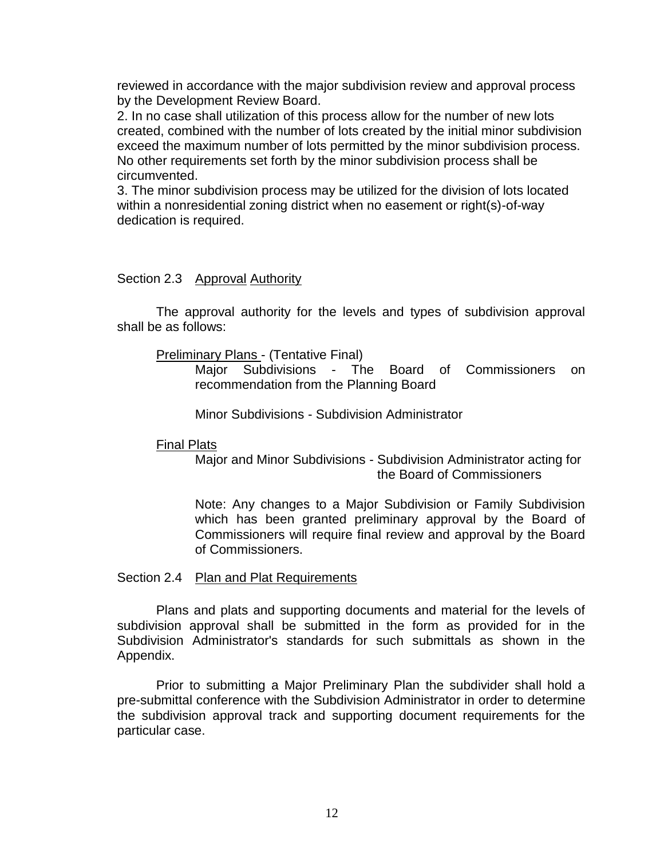reviewed in accordance with the major subdivision review and approval process by the Development Review Board.

2. In no case shall utilization of this process allow for the number of new lots created, combined with the number of lots created by the initial minor subdivision exceed the maximum number of lots permitted by the minor subdivision process. No other requirements set forth by the minor subdivision process shall be circumvented.

3. The minor subdivision process may be utilized for the division of lots located within a nonresidential zoning district when no easement or right(s)-of-way dedication is required.

#### <span id="page-11-0"></span>Section 2.3 Approval Authority

The approval authority for the levels and types of subdivision approval shall be as follows:

#### Preliminary Plans - (Tentative Final)

Major Subdivisions - The Board of Commissioners on recommendation from the Planning Board

Minor Subdivisions - Subdivision Administrator

#### Final Plats

Major and Minor Subdivisions - Subdivision Administrator acting for the Board of Commissioners

Note: Any changes to a Major Subdivision or Family Subdivision which has been granted preliminary approval by the Board of Commissioners will require final review and approval by the Board of Commissioners.

#### <span id="page-11-1"></span>Section 2.4 Plan and Plat Requirements

Plans and plats and supporting documents and material for the levels of subdivision approval shall be submitted in the form as provided for in the Subdivision Administrator's standards for such submittals as shown in the Appendix.

Prior to submitting a Major Preliminary Plan the subdivider shall hold a pre-submittal conference with the Subdivision Administrator in order to determine the subdivision approval track and supporting document requirements for the particular case.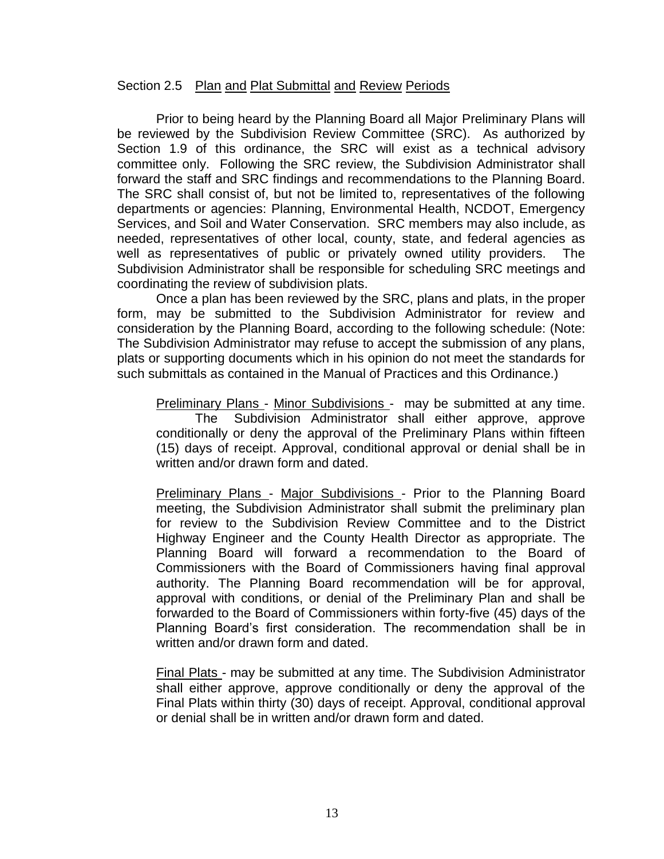## <span id="page-12-0"></span>Section 2.5 Plan and Plat Submittal and Review Periods

Prior to being heard by the Planning Board all Major Preliminary Plans will be reviewed by the Subdivision Review Committee (SRC). As authorized by Section 1.9 of this ordinance, the SRC will exist as a technical advisory committee only. Following the SRC review, the Subdivision Administrator shall forward the staff and SRC findings and recommendations to the Planning Board. The SRC shall consist of, but not be limited to, representatives of the following departments or agencies: Planning, Environmental Health, NCDOT, Emergency Services, and Soil and Water Conservation. SRC members may also include, as needed, representatives of other local, county, state, and federal agencies as well as representatives of public or privately owned utility providers. The Subdivision Administrator shall be responsible for scheduling SRC meetings and coordinating the review of subdivision plats.

Once a plan has been reviewed by the SRC, plans and plats, in the proper form, may be submitted to the Subdivision Administrator for review and consideration by the Planning Board, according to the following schedule: (Note: The Subdivision Administrator may refuse to accept the submission of any plans, plats or supporting documents which in his opinion do not meet the standards for such submittals as contained in the Manual of Practices and this Ordinance.)

Preliminary Plans - Minor Subdivisions - may be submitted at any time. The Subdivision Administrator shall either approve, approve conditionally or deny the approval of the Preliminary Plans within fifteen (15) days of receipt. Approval, conditional approval or denial shall be in written and/or drawn form and dated.

Preliminary Plans - Major Subdivisions - Prior to the Planning Board meeting, the Subdivision Administrator shall submit the preliminary plan for review to the Subdivision Review Committee and to the District Highway Engineer and the County Health Director as appropriate. The Planning Board will forward a recommendation to the Board of Commissioners with the Board of Commissioners having final approval authority. The Planning Board recommendation will be for approval, approval with conditions, or denial of the Preliminary Plan and shall be forwarded to the Board of Commissioners within forty-five (45) days of the Planning Board's first consideration. The recommendation shall be in written and/or drawn form and dated.

Final Plats - may be submitted at any time. The Subdivision Administrator shall either approve, approve conditionally or deny the approval of the Final Plats within thirty (30) days of receipt. Approval, conditional approval or denial shall be in written and/or drawn form and dated.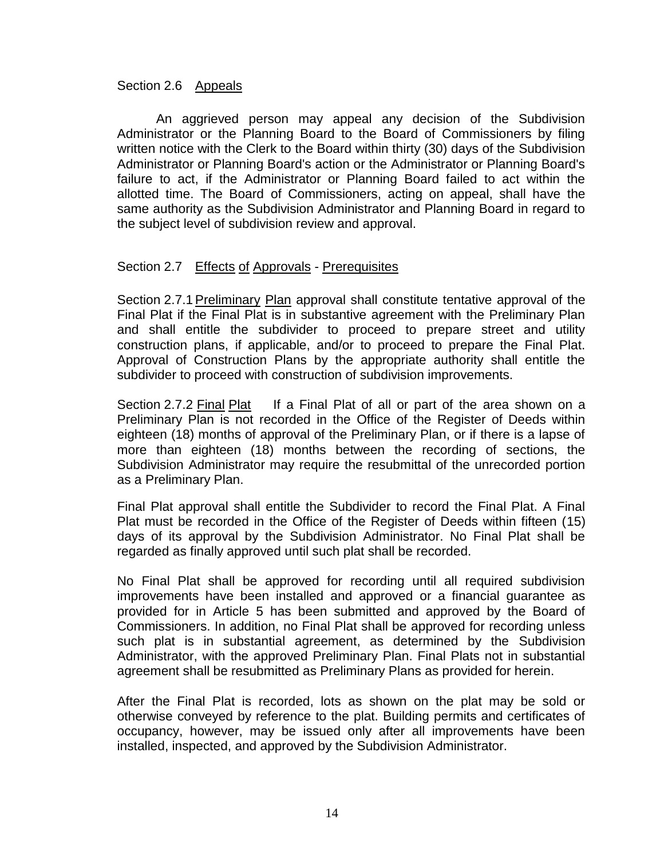## <span id="page-13-0"></span>Section 2.6 Appeals

An aggrieved person may appeal any decision of the Subdivision Administrator or the Planning Board to the Board of Commissioners by filing written notice with the Clerk to the Board within thirty (30) days of the Subdivision Administrator or Planning Board's action or the Administrator or Planning Board's failure to act, if the Administrator or Planning Board failed to act within the allotted time. The Board of Commissioners, acting on appeal, shall have the same authority as the Subdivision Administrator and Planning Board in regard to the subject level of subdivision review and approval.

## <span id="page-13-1"></span>Section 2.7 Effects of Approvals - Prerequisites

<span id="page-13-2"></span>Section 2.7.1Preliminary Plan approval shall constitute tentative approval of the Final Plat if the Final Plat is in substantive agreement with the Preliminary Plan and shall entitle the subdivider to proceed to prepare street and utility construction plans, if applicable, and/or to proceed to prepare the Final Plat. Approval of Construction Plans by the appropriate authority shall entitle the subdivider to proceed with construction of subdivision improvements.

<span id="page-13-3"></span>Section 2.7.2 Final Plat If a Final Plat of all or part of the area shown on a Preliminary Plan is not recorded in the Office of the Register of Deeds within eighteen (18) months of approval of the Preliminary Plan, or if there is a lapse of more than eighteen (18) months between the recording of sections, the Subdivision Administrator may require the resubmittal of the unrecorded portion as a Preliminary Plan.

Final Plat approval shall entitle the Subdivider to record the Final Plat. A Final Plat must be recorded in the Office of the Register of Deeds within fifteen (15) days of its approval by the Subdivision Administrator. No Final Plat shall be regarded as finally approved until such plat shall be recorded.

No Final Plat shall be approved for recording until all required subdivision improvements have been installed and approved or a financial guarantee as provided for in Article 5 has been submitted and approved by the Board of Commissioners. In addition, no Final Plat shall be approved for recording unless such plat is in substantial agreement, as determined by the Subdivision Administrator, with the approved Preliminary Plan. Final Plats not in substantial agreement shall be resubmitted as Preliminary Plans as provided for herein.

After the Final Plat is recorded, lots as shown on the plat may be sold or otherwise conveyed by reference to the plat. Building permits and certificates of occupancy, however, may be issued only after all improvements have been installed, inspected, and approved by the Subdivision Administrator.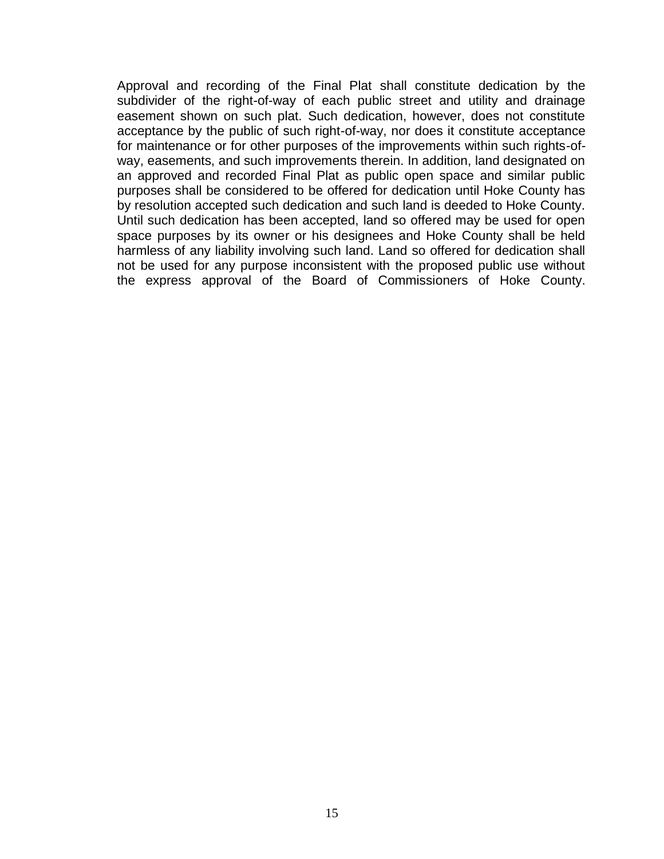Approval and recording of the Final Plat shall constitute dedication by the subdivider of the right-of-way of each public street and utility and drainage easement shown on such plat. Such dedication, however, does not constitute acceptance by the public of such right-of-way, nor does it constitute acceptance for maintenance or for other purposes of the improvements within such rights-ofway, easements, and such improvements therein. In addition, land designated on an approved and recorded Final Plat as public open space and similar public purposes shall be considered to be offered for dedication until Hoke County has by resolution accepted such dedication and such land is deeded to Hoke County. Until such dedication has been accepted, land so offered may be used for open space purposes by its owner or his designees and Hoke County shall be held harmless of any liability involving such land. Land so offered for dedication shall not be used for any purpose inconsistent with the proposed public use without the express approval of the Board of Commissioners of Hoke County.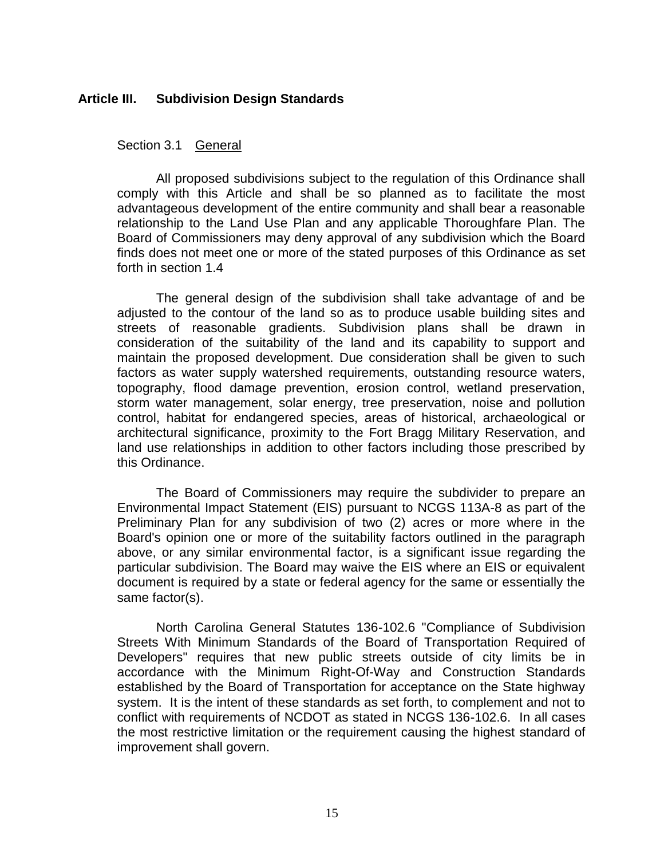## <span id="page-15-1"></span><span id="page-15-0"></span>**Article III. Subdivision Design Standards**

## Section 3.1 General

All proposed subdivisions subject to the regulation of this Ordinance shall comply with this Article and shall be so planned as to facilitate the most advantageous development of the entire community and shall bear a reasonable relationship to the Land Use Plan and any applicable Thoroughfare Plan. The Board of Commissioners may deny approval of any subdivision which the Board finds does not meet one or more of the stated purposes of this Ordinance as set forth in section 1.4

The general design of the subdivision shall take advantage of and be adjusted to the contour of the land so as to produce usable building sites and streets of reasonable gradients. Subdivision plans shall be drawn in consideration of the suitability of the land and its capability to support and maintain the proposed development. Due consideration shall be given to such factors as water supply watershed requirements, outstanding resource waters, topography, flood damage prevention, erosion control, wetland preservation, storm water management, solar energy, tree preservation, noise and pollution control, habitat for endangered species, areas of historical, archaeological or architectural significance, proximity to the Fort Bragg Military Reservation, and land use relationships in addition to other factors including those prescribed by this Ordinance.

The Board of Commissioners may require the subdivider to prepare an Environmental Impact Statement (EIS) pursuant to NCGS 113A-8 as part of the Preliminary Plan for any subdivision of two (2) acres or more where in the Board's opinion one or more of the suitability factors outlined in the paragraph above, or any similar environmental factor, is a significant issue regarding the particular subdivision. The Board may waive the EIS where an EIS or equivalent document is required by a state or federal agency for the same or essentially the same factor(s).

North Carolina General Statutes 136-102.6 "Compliance of Subdivision Streets With Minimum Standards of the Board of Transportation Required of Developers" requires that new public streets outside of city limits be in accordance with the Minimum Right-Of-Way and Construction Standards established by the Board of Transportation for acceptance on the State highway system. It is the intent of these standards as set forth, to complement and not to conflict with requirements of NCDOT as stated in NCGS 136-102.6. In all cases the most restrictive limitation or the requirement causing the highest standard of improvement shall govern.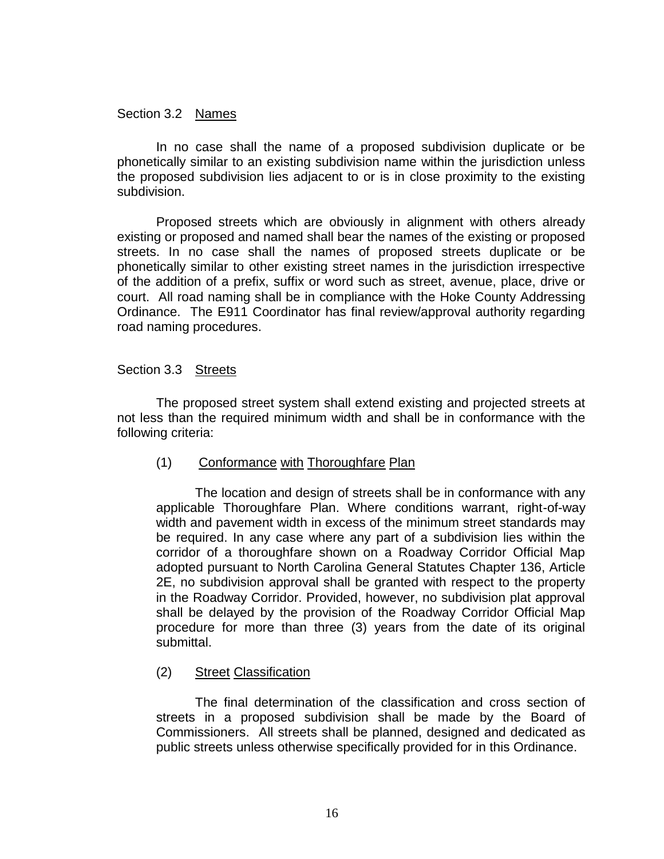## <span id="page-16-0"></span>Section 3.2 Names

In no case shall the name of a proposed subdivision duplicate or be phonetically similar to an existing subdivision name within the jurisdiction unless the proposed subdivision lies adjacent to or is in close proximity to the existing subdivision.

Proposed streets which are obviously in alignment with others already existing or proposed and named shall bear the names of the existing or proposed streets. In no case shall the names of proposed streets duplicate or be phonetically similar to other existing street names in the jurisdiction irrespective of the addition of a prefix, suffix or word such as street, avenue, place, drive or court. All road naming shall be in compliance with the Hoke County Addressing Ordinance. The E911 Coordinator has final review/approval authority regarding road naming procedures.

## <span id="page-16-1"></span>Section 3.3 Streets

The proposed street system shall extend existing and projected streets at not less than the required minimum width and shall be in conformance with the following criteria:

# (1) Conformance with Thoroughfare Plan

The location and design of streets shall be in conformance with any applicable Thoroughfare Plan. Where conditions warrant, right-of-way width and pavement width in excess of the minimum street standards may be required. In any case where any part of a subdivision lies within the corridor of a thoroughfare shown on a Roadway Corridor Official Map adopted pursuant to North Carolina General Statutes Chapter 136, Article 2E, no subdivision approval shall be granted with respect to the property in the Roadway Corridor. Provided, however, no subdivision plat approval shall be delayed by the provision of the Roadway Corridor Official Map procedure for more than three (3) years from the date of its original submittal.

# (2) Street Classification

The final determination of the classification and cross section of streets in a proposed subdivision shall be made by the Board of Commissioners. All streets shall be planned, designed and dedicated as public streets unless otherwise specifically provided for in this Ordinance.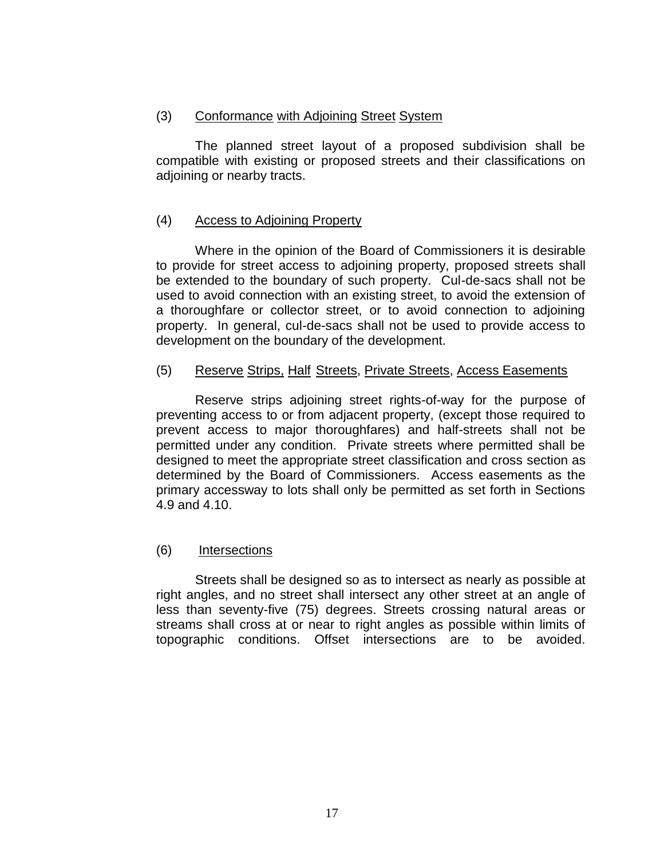# (3) Conformance with Adjoining Street System

The planned street layout of a proposed subdivision shall be compatible with existing or proposed streets and their classifications on adjoining or nearby tracts.

# (4) Access to Adjoining Property

Where in the opinion of the Board of Commissioners it is desirable to provide for street access to adjoining property, proposed streets shall be extended to the boundary of such property. Cul-de-sacs shall not be used to avoid connection with an existing street, to avoid the extension of a thoroughfare or collector street, or to avoid connection to adjoining property. In general, cul-de-sacs shall not be used to provide access to development on the boundary of the development.

# (5) Reserve Strips, Half Streets, Private Streets, Access Easements

Reserve strips adjoining street rights-of-way for the purpose of preventing access to or from adjacent property, (except those required to prevent access to major thoroughfares) and half-streets shall not be permitted under any condition. Private streets where permitted shall be designed to meet the appropriate street classification and cross section as determined by the Board of Commissioners. Access easements as the primary accessway to lots shall only be permitted as set forth in Sections 4.9 and 4.10.

# (6) Intersections

Streets shall be designed so as to intersect as nearly as possible at right angles, and no street shall intersect any other street at an angle of less than seventy-five (75) degrees. Streets crossing natural areas or streams shall cross at or near to right angles as possible within limits of topographic conditions. Offset intersections are to be avoided.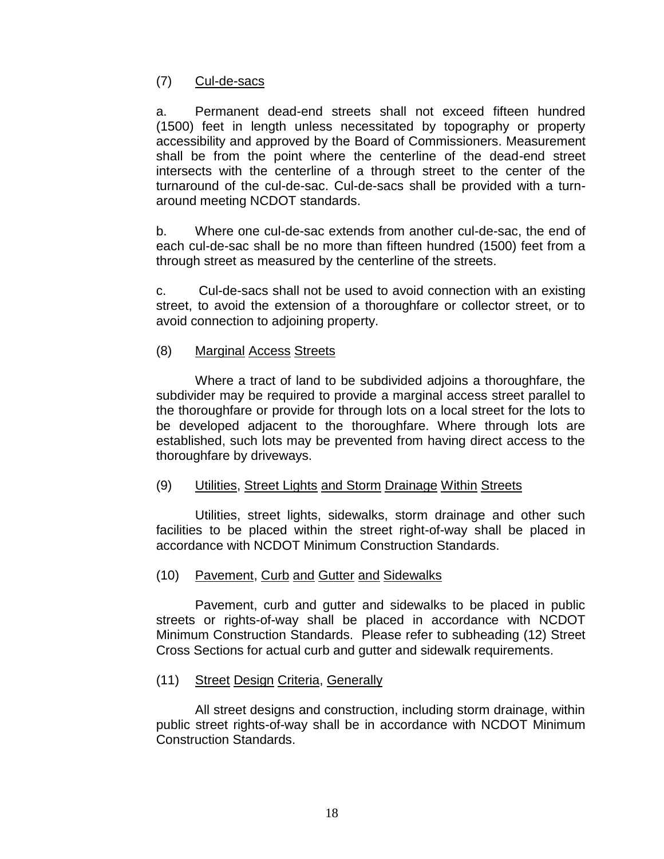# (7) Cul-de-sacs

a. Permanent dead-end streets shall not exceed fifteen hundred (1500) feet in length unless necessitated by topography or property accessibility and approved by the Board of Commissioners. Measurement shall be from the point where the centerline of the dead-end street intersects with the centerline of a through street to the center of the turnaround of the cul-de-sac. Cul-de-sacs shall be provided with a turnaround meeting NCDOT standards.

b. Where one cul-de-sac extends from another cul-de-sac, the end of each cul-de-sac shall be no more than fifteen hundred (1500) feet from a through street as measured by the centerline of the streets.

c. Cul-de-sacs shall not be used to avoid connection with an existing street, to avoid the extension of a thoroughfare or collector street, or to avoid connection to adjoining property.

# (8) Marginal Access Streets

Where a tract of land to be subdivided adjoins a thoroughfare, the subdivider may be required to provide a marginal access street parallel to the thoroughfare or provide for through lots on a local street for the lots to be developed adjacent to the thoroughfare. Where through lots are established, such lots may be prevented from having direct access to the thoroughfare by driveways.

# (9) Utilities, Street Lights and Storm Drainage Within Streets

Utilities, street lights, sidewalks, storm drainage and other such facilities to be placed within the street right-of-way shall be placed in accordance with NCDOT Minimum Construction Standards.

# (10) Pavement, Curb and Gutter and Sidewalks

Pavement, curb and gutter and sidewalks to be placed in public streets or rights-of-way shall be placed in accordance with NCDOT Minimum Construction Standards. Please refer to subheading (12) Street Cross Sections for actual curb and gutter and sidewalk requirements.

# (11) Street Design Criteria, Generally

All street designs and construction, including storm drainage, within public street rights-of-way shall be in accordance with NCDOT Minimum Construction Standards.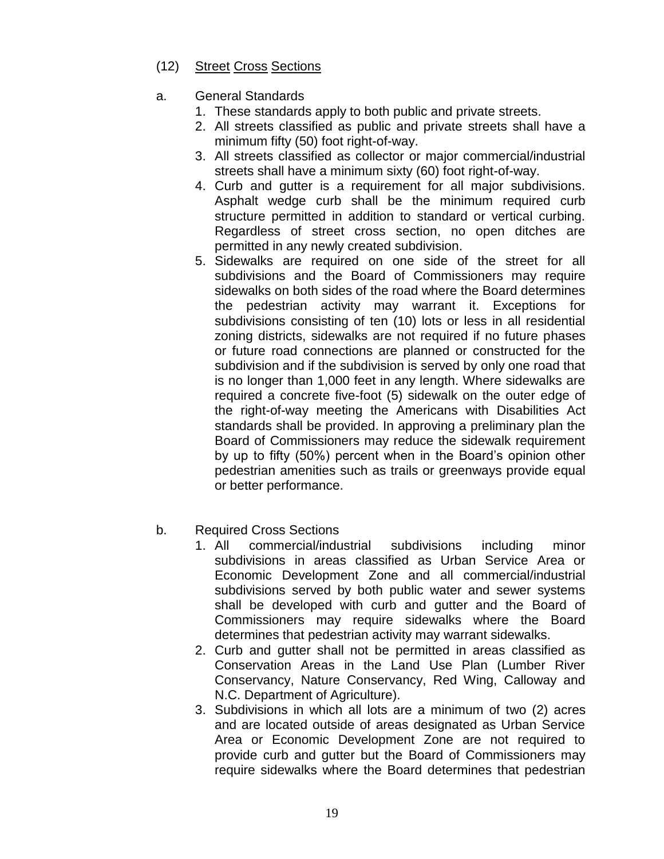- (12) Street Cross Sections
- a. General Standards
	- 1. These standards apply to both public and private streets.
	- 2. All streets classified as public and private streets shall have a minimum fifty (50) foot right-of-way.
	- 3. All streets classified as collector or major commercial/industrial streets shall have a minimum sixty (60) foot right-of-way.
	- 4. Curb and gutter is a requirement for all major subdivisions. Asphalt wedge curb shall be the minimum required curb structure permitted in addition to standard or vertical curbing. Regardless of street cross section, no open ditches are permitted in any newly created subdivision.
	- 5. Sidewalks are required on one side of the street for all subdivisions and the Board of Commissioners may require sidewalks on both sides of the road where the Board determines the pedestrian activity may warrant it. Exceptions for subdivisions consisting of ten (10) lots or less in all residential zoning districts, sidewalks are not required if no future phases or future road connections are planned or constructed for the subdivision and if the subdivision is served by only one road that is no longer than 1,000 feet in any length. Where sidewalks are required a concrete five-foot (5) sidewalk on the outer edge of the right-of-way meeting the Americans with Disabilities Act standards shall be provided. In approving a preliminary plan the Board of Commissioners may reduce the sidewalk requirement by up to fifty (50%) percent when in the Board's opinion other pedestrian amenities such as trails or greenways provide equal or better performance.
- b. Required Cross Sections
	- 1. All commercial/industrial subdivisions including minor subdivisions in areas classified as Urban Service Area or Economic Development Zone and all commercial/industrial subdivisions served by both public water and sewer systems shall be developed with curb and gutter and the Board of Commissioners may require sidewalks where the Board determines that pedestrian activity may warrant sidewalks.
	- 2. Curb and gutter shall not be permitted in areas classified as Conservation Areas in the Land Use Plan (Lumber River Conservancy, Nature Conservancy, Red Wing, Calloway and N.C. Department of Agriculture).
	- 3. Subdivisions in which all lots are a minimum of two (2) acres and are located outside of areas designated as Urban Service Area or Economic Development Zone are not required to provide curb and gutter but the Board of Commissioners may require sidewalks where the Board determines that pedestrian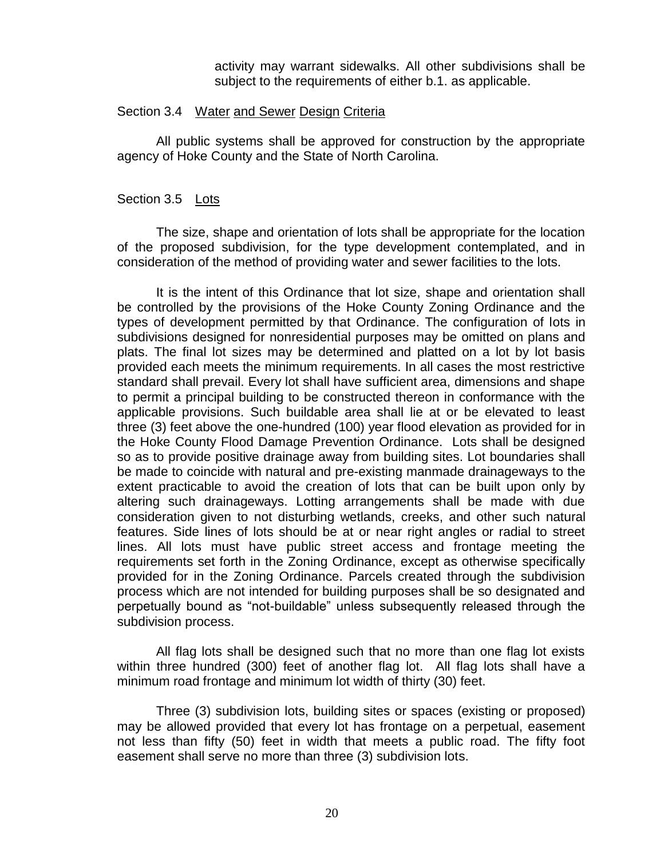<span id="page-20-0"></span>activity may warrant sidewalks. All other subdivisions shall be subject to the requirements of either b.1. as applicable.

#### Section 3.4 Water and Sewer Design Criteria

All public systems shall be approved for construction by the appropriate agency of Hoke County and the State of North Carolina.

# <span id="page-20-1"></span>Section 3.5 Lots

The size, shape and orientation of lots shall be appropriate for the location of the proposed subdivision, for the type development contemplated, and in consideration of the method of providing water and sewer facilities to the lots.

It is the intent of this Ordinance that lot size, shape and orientation shall be controlled by the provisions of the Hoke County Zoning Ordinance and the types of development permitted by that Ordinance. The configuration of lots in subdivisions designed for nonresidential purposes may be omitted on plans and plats. The final lot sizes may be determined and platted on a lot by lot basis provided each meets the minimum requirements. In all cases the most restrictive standard shall prevail. Every lot shall have sufficient area, dimensions and shape to permit a principal building to be constructed thereon in conformance with the applicable provisions. Such buildable area shall lie at or be elevated to least three (3) feet above the one-hundred (100) year flood elevation as provided for in the Hoke County Flood Damage Prevention Ordinance. Lots shall be designed so as to provide positive drainage away from building sites. Lot boundaries shall be made to coincide with natural and pre-existing manmade drainageways to the extent practicable to avoid the creation of lots that can be built upon only by altering such drainageways. Lotting arrangements shall be made with due consideration given to not disturbing wetlands, creeks, and other such natural features. Side lines of lots should be at or near right angles or radial to street lines. All lots must have public street access and frontage meeting the requirements set forth in the Zoning Ordinance, except as otherwise specifically provided for in the Zoning Ordinance. Parcels created through the subdivision process which are not intended for building purposes shall be so designated and perpetually bound as "not-buildable" unless subsequently released through the subdivision process.

All flag lots shall be designed such that no more than one flag lot exists within three hundred (300) feet of another flag lot. All flag lots shall have a minimum road frontage and minimum lot width of thirty (30) feet.

Three (3) subdivision lots, building sites or spaces (existing or proposed) may be allowed provided that every lot has frontage on a perpetual, easement not less than fifty (50) feet in width that meets a public road. The fifty foot easement shall serve no more than three (3) subdivision lots.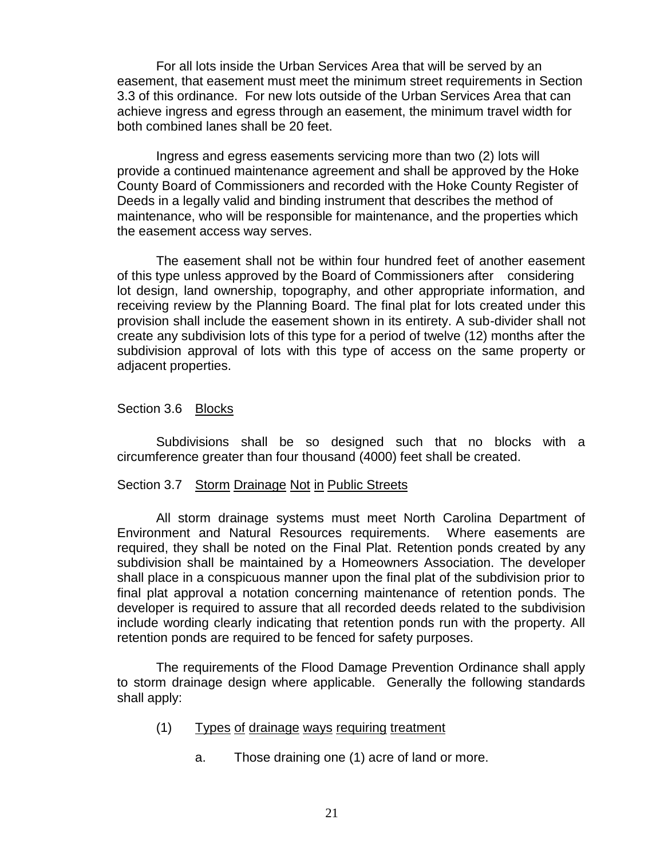For all lots inside the Urban Services Area that will be served by an easement, that easement must meet the minimum street requirements in Section 3.3 of this ordinance. For new lots outside of the Urban Services Area that can achieve ingress and egress through an easement, the minimum travel width for both combined lanes shall be 20 feet.

Ingress and egress easements servicing more than two (2) lots will provide a continued maintenance agreement and shall be approved by the Hoke County Board of Commissioners and recorded with the Hoke County Register of Deeds in a legally valid and binding instrument that describes the method of maintenance, who will be responsible for maintenance, and the properties which the easement access way serves.

The easement shall not be within four hundred feet of another easement of this type unless approved by the Board of Commissioners after considering lot design, land ownership, topography, and other appropriate information, and receiving review by the Planning Board. The final plat for lots created under this provision shall include the easement shown in its entirety. A sub-divider shall not create any subdivision lots of this type for a period of twelve (12) months after the subdivision approval of lots with this type of access on the same property or adjacent properties.

## <span id="page-21-0"></span>Section 3.6 Blocks

Subdivisions shall be so designed such that no blocks with a circumference greater than four thousand (4000) feet shall be created.

#### <span id="page-21-1"></span>Section 3.7 Storm Drainage Not in Public Streets

All storm drainage systems must meet North Carolina Department of Environment and Natural Resources requirements. Where easements are required, they shall be noted on the Final Plat. Retention ponds created by any subdivision shall be maintained by a Homeowners Association. The developer shall place in a conspicuous manner upon the final plat of the subdivision prior to final plat approval a notation concerning maintenance of retention ponds. The developer is required to assure that all recorded deeds related to the subdivision include wording clearly indicating that retention ponds run with the property. All retention ponds are required to be fenced for safety purposes.

The requirements of the Flood Damage Prevention Ordinance shall apply to storm drainage design where applicable. Generally the following standards shall apply:

- (1) Types of drainage ways requiring treatment
	- a. Those draining one (1) acre of land or more.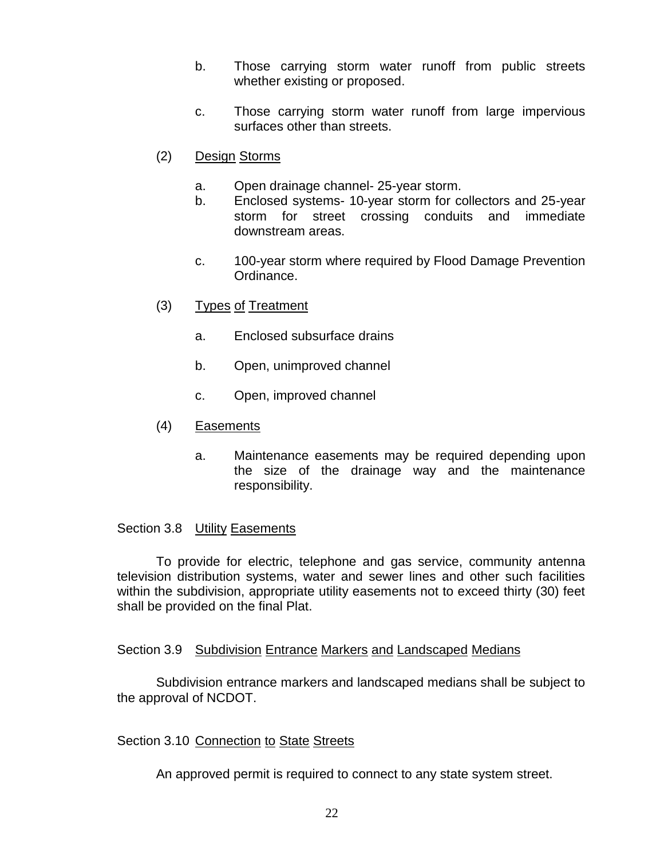- b. Those carrying storm water runoff from public streets whether existing or proposed.
- c. Those carrying storm water runoff from large impervious surfaces other than streets.
- (2) Design Storms
	- a. Open drainage channel- 25-year storm.
	- b. Enclosed systems- 10-year storm for collectors and 25-year storm for street crossing conduits and immediate downstream areas.
	- c. 100-year storm where required by Flood Damage Prevention Ordinance.
- (3) Types of Treatment
	- a. Enclosed subsurface drains
	- b. Open, unimproved channel
	- c. Open, improved channel
- (4) Easements
	- a. Maintenance easements may be required depending upon the size of the drainage way and the maintenance responsibility.

## <span id="page-22-0"></span>Section 3.8 Utility Easements

To provide for electric, telephone and gas service, community antenna television distribution systems, water and sewer lines and other such facilities within the subdivision, appropriate utility easements not to exceed thirty (30) feet shall be provided on the final Plat.

## <span id="page-22-1"></span>Section 3.9 Subdivision Entrance Markers and Landscaped Medians

Subdivision entrance markers and landscaped medians shall be subject to the approval of NCDOT.

## <span id="page-22-2"></span>Section 3.10 Connection to State Streets

An approved permit is required to connect to any state system street.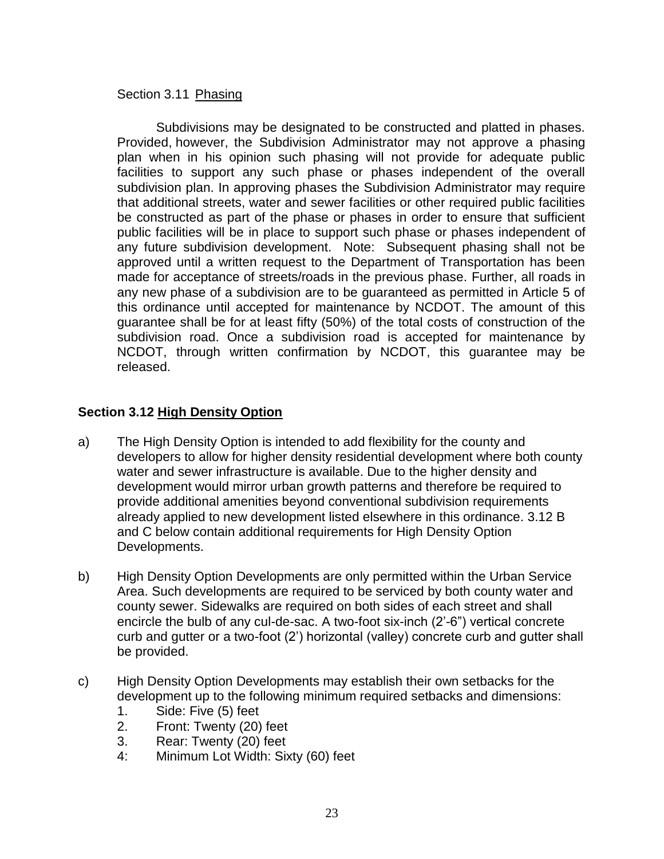# <span id="page-23-0"></span>Section 3.11 Phasing

Subdivisions may be designated to be constructed and platted in phases. Provided, however, the Subdivision Administrator may not approve a phasing plan when in his opinion such phasing will not provide for adequate public facilities to support any such phase or phases independent of the overall subdivision plan. In approving phases the Subdivision Administrator may require that additional streets, water and sewer facilities or other required public facilities be constructed as part of the phase or phases in order to ensure that sufficient public facilities will be in place to support such phase or phases independent of any future subdivision development. Note: Subsequent phasing shall not be approved until a written request to the Department of Transportation has been made for acceptance of streets/roads in the previous phase. Further, all roads in any new phase of a subdivision are to be guaranteed as permitted in Article 5 of this ordinance until accepted for maintenance by NCDOT. The amount of this guarantee shall be for at least fifty (50%) of the total costs of construction of the subdivision road. Once a subdivision road is accepted for maintenance by NCDOT, through written confirmation by NCDOT, this guarantee may be released.

# **Section 3.12 High Density Option**

- a) The High Density Option is intended to add flexibility for the county and developers to allow for higher density residential development where both county water and sewer infrastructure is available. Due to the higher density and development would mirror urban growth patterns and therefore be required to provide additional amenities beyond conventional subdivision requirements already applied to new development listed elsewhere in this ordinance. 3.12 B and C below contain additional requirements for High Density Option Developments.
- b) High Density Option Developments are only permitted within the Urban Service Area. Such developments are required to be serviced by both county water and county sewer. Sidewalks are required on both sides of each street and shall encircle the bulb of any cul-de-sac. A two-foot six-inch (2'-6") vertical concrete curb and gutter or a two-foot (2') horizontal (valley) concrete curb and gutter shall be provided.
- c) High Density Option Developments may establish their own setbacks for the development up to the following minimum required setbacks and dimensions:
	- 1. Side: Five (5) feet
	- 2. Front: Twenty (20) feet
	- 3. Rear: Twenty (20) feet
	- 4: Minimum Lot Width: Sixty (60) feet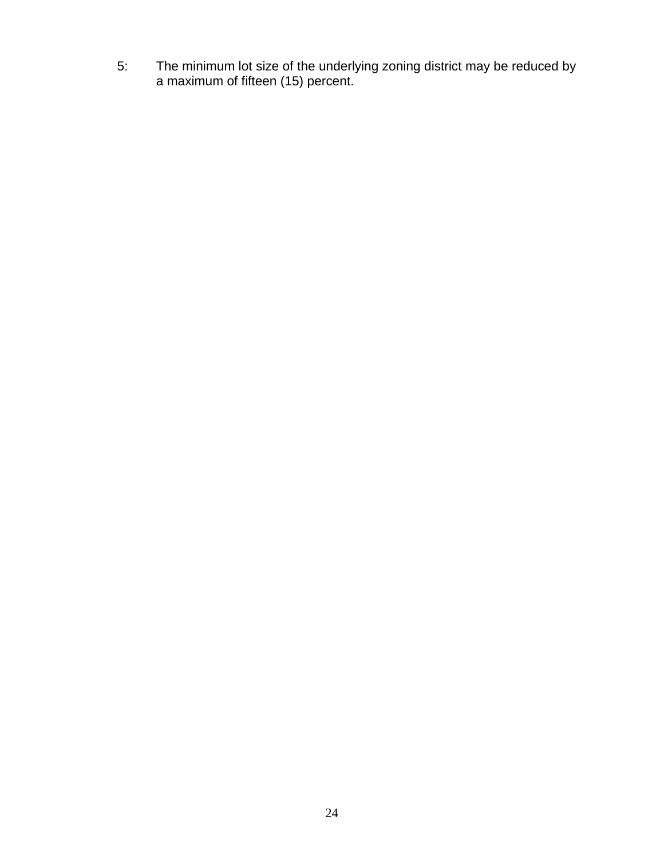5: The minimum lot size of the underlying zoning district may be reduced by a maximum of fifteen (15) percent.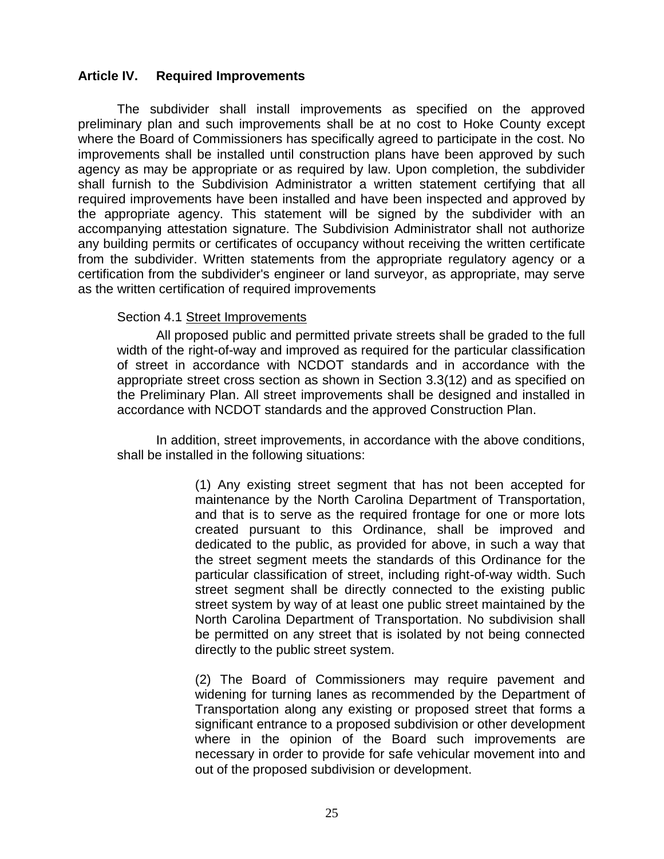# <span id="page-25-0"></span>**Article IV. Required Improvements**

The subdivider shall install improvements as specified on the approved preliminary plan and such improvements shall be at no cost to Hoke County except where the Board of Commissioners has specifically agreed to participate in the cost. No improvements shall be installed until construction plans have been approved by such agency as may be appropriate or as required by law. Upon completion, the subdivider shall furnish to the Subdivision Administrator a written statement certifying that all required improvements have been installed and have been inspected and approved by the appropriate agency. This statement will be signed by the subdivider with an accompanying attestation signature. The Subdivision Administrator shall not authorize any building permits or certificates of occupancy without receiving the written certificate from the subdivider. Written statements from the appropriate regulatory agency or a certification from the subdivider's engineer or land surveyor, as appropriate, may serve as the written certification of required improvements

## Section 4.1 Street Improvements

All proposed public and permitted private streets shall be graded to the full width of the right-of-way and improved as required for the particular classification of street in accordance with NCDOT standards and in accordance with the appropriate street cross section as shown in Section 3.3(12) and as specified on the Preliminary Plan. All street improvements shall be designed and installed in accordance with NCDOT standards and the approved Construction Plan.

In addition, street improvements, in accordance with the above conditions, shall be installed in the following situations:

> (1) Any existing street segment that has not been accepted for maintenance by the North Carolina Department of Transportation, and that is to serve as the required frontage for one or more lots created pursuant to this Ordinance, shall be improved and dedicated to the public, as provided for above, in such a way that the street segment meets the standards of this Ordinance for the particular classification of street, including right-of-way width. Such street segment shall be directly connected to the existing public street system by way of at least one public street maintained by the North Carolina Department of Transportation. No subdivision shall be permitted on any street that is isolated by not being connected directly to the public street system.

> (2) The Board of Commissioners may require pavement and widening for turning lanes as recommended by the Department of Transportation along any existing or proposed street that forms a significant entrance to a proposed subdivision or other development where in the opinion of the Board such improvements are necessary in order to provide for safe vehicular movement into and out of the proposed subdivision or development.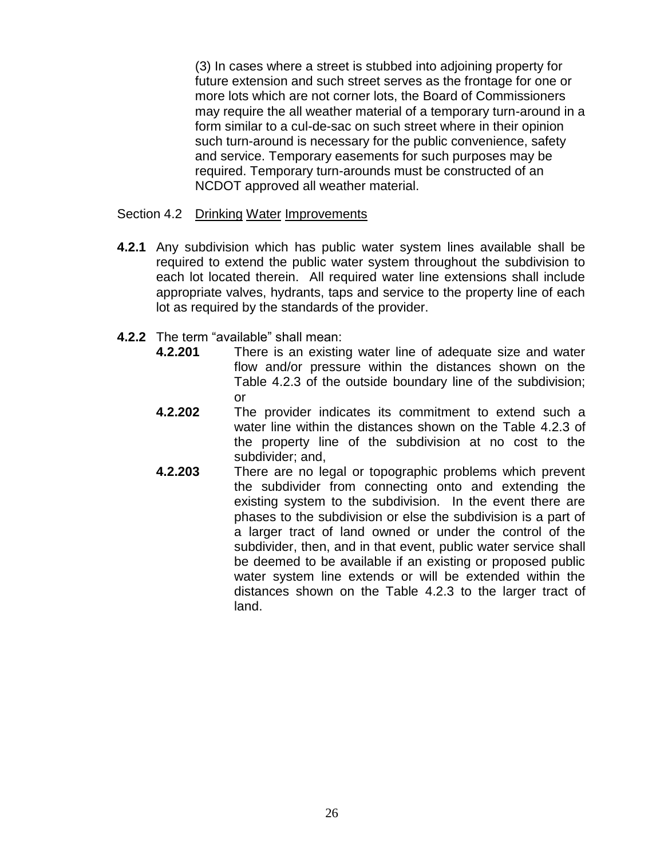(3) In cases where a street is stubbed into adjoining property for future extension and such street serves as the frontage for one or more lots which are not corner lots, the Board of Commissioners may require the all weather material of a temporary turn-around in a form similar to a cul-de-sac on such street where in their opinion such turn-around is necessary for the public convenience, safety and service. Temporary easements for such purposes may be required. Temporary turn-arounds must be constructed of an NCDOT approved all weather material.

## Section 4.2 Drinking Water Improvements

- **4.2.1** Any subdivision which has public water system lines available shall be required to extend the public water system throughout the subdivision to each lot located therein. All required water line extensions shall include appropriate valves, hydrants, taps and service to the property line of each lot as required by the standards of the provider.
- **4.2.2** The term "available" shall mean:
	- **4.2.201** There is an existing water line of adequate size and water flow and/or pressure within the distances shown on the Table 4.2.3 of the outside boundary line of the subdivision; or
	- **4.2.202** The provider indicates its commitment to extend such a water line within the distances shown on the Table 4.2.3 of the property line of the subdivision at no cost to the subdivider; and,
	- **4.2.203** There are no legal or topographic problems which prevent the subdivider from connecting onto and extending the existing system to the subdivision. In the event there are phases to the subdivision or else the subdivision is a part of a larger tract of land owned or under the control of the subdivider, then, and in that event, public water service shall be deemed to be available if an existing or proposed public water system line extends or will be extended within the distances shown on the Table 4.2.3 to the larger tract of land.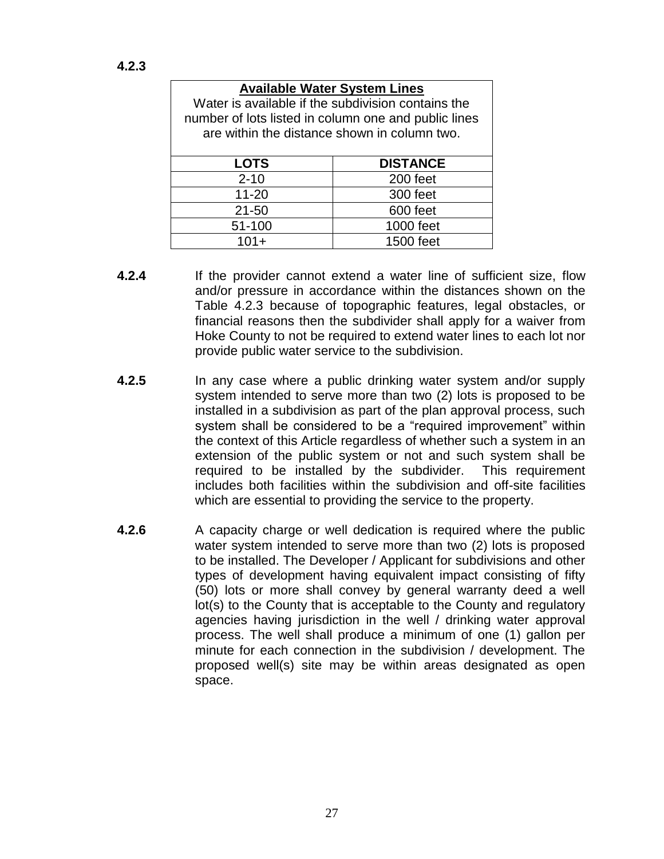| <b>Available Water System Lines</b>                  |                 |  |  |  |
|------------------------------------------------------|-----------------|--|--|--|
| Water is available if the subdivision contains the   |                 |  |  |  |
| number of lots listed in column one and public lines |                 |  |  |  |
| are within the distance shown in column two.         |                 |  |  |  |
|                                                      |                 |  |  |  |
| <b>LOTS</b>                                          | <b>DISTANCE</b> |  |  |  |
| $2 - 10$                                             | 200 feet        |  |  |  |
| $11 - 20$                                            | 300 feet        |  |  |  |
| $21 - 50$                                            | 600 feet        |  |  |  |
| 51-100                                               | 1000 feet       |  |  |  |
| $101+$                                               | 1500 feet       |  |  |  |

- **4.2.4** If the provider cannot extend a water line of sufficient size, flow and/or pressure in accordance within the distances shown on the Table 4.2.3 because of topographic features, legal obstacles, or financial reasons then the subdivider shall apply for a waiver from Hoke County to not be required to extend water lines to each lot nor provide public water service to the subdivision.
- **4.2.5** In any case where a public drinking water system and/or supply system intended to serve more than two (2) lots is proposed to be installed in a subdivision as part of the plan approval process, such system shall be considered to be a "required improvement" within the context of this Article regardless of whether such a system in an extension of the public system or not and such system shall be required to be installed by the subdivider. This requirement includes both facilities within the subdivision and off-site facilities which are essential to providing the service to the property.
- **4.2.6** A capacity charge or well dedication is required where the public water system intended to serve more than two (2) lots is proposed to be installed. The Developer / Applicant for subdivisions and other types of development having equivalent impact consisting of fifty (50) lots or more shall convey by general warranty deed a well lot(s) to the County that is acceptable to the County and regulatory agencies having jurisdiction in the well / drinking water approval process. The well shall produce a minimum of one (1) gallon per minute for each connection in the subdivision / development. The proposed well(s) site may be within areas designated as open space.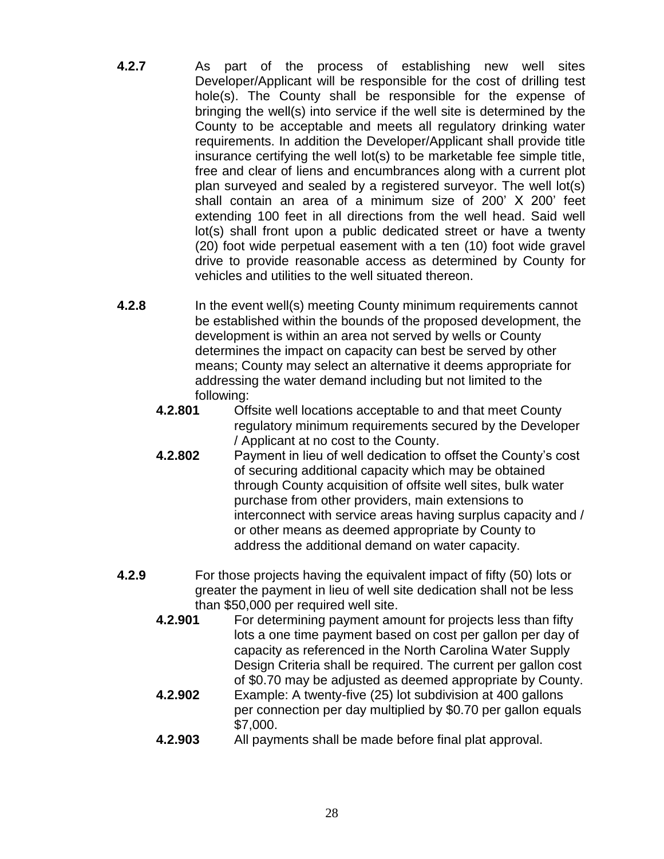- **4.2.7** As part of the process of establishing new well sites Developer/Applicant will be responsible for the cost of drilling test hole(s). The County shall be responsible for the expense of bringing the well(s) into service if the well site is determined by the County to be acceptable and meets all regulatory drinking water requirements. In addition the Developer/Applicant shall provide title insurance certifying the well lot(s) to be marketable fee simple title, free and clear of liens and encumbrances along with a current plot plan surveyed and sealed by a registered surveyor. The well lot(s) shall contain an area of a minimum size of 200' X 200' feet extending 100 feet in all directions from the well head. Said well lot(s) shall front upon a public dedicated street or have a twenty (20) foot wide perpetual easement with a ten (10) foot wide gravel drive to provide reasonable access as determined by County for vehicles and utilities to the well situated thereon.
- **4.2.8** In the event well(s) meeting County minimum requirements cannot be established within the bounds of the proposed development, the development is within an area not served by wells or County determines the impact on capacity can best be served by other means; County may select an alternative it deems appropriate for addressing the water demand including but not limited to the following:
	- **4.2.801** Offsite well locations acceptable to and that meet County regulatory minimum requirements secured by the Developer / Applicant at no cost to the County.
	- **4.2.802** Payment in lieu of well dedication to offset the County's cost of securing additional capacity which may be obtained through County acquisition of offsite well sites, bulk water purchase from other providers, main extensions to interconnect with service areas having surplus capacity and / or other means as deemed appropriate by County to address the additional demand on water capacity.
- **4.2.9** For those projects having the equivalent impact of fifty (50) lots or greater the payment in lieu of well site dedication shall not be less than \$50,000 per required well site.
	- **4.2.901** For determining payment amount for projects less than fifty lots a one time payment based on cost per gallon per day of capacity as referenced in the North Carolina Water Supply Design Criteria shall be required. The current per gallon cost of \$0.70 may be adjusted as deemed appropriate by County. **4.2.902** Example: A twenty-five (25) lot subdivision at 400 gallons
	- per connection per day multiplied by \$0.70 per gallon equals \$7,000.
	- **4.2.903** All payments shall be made before final plat approval.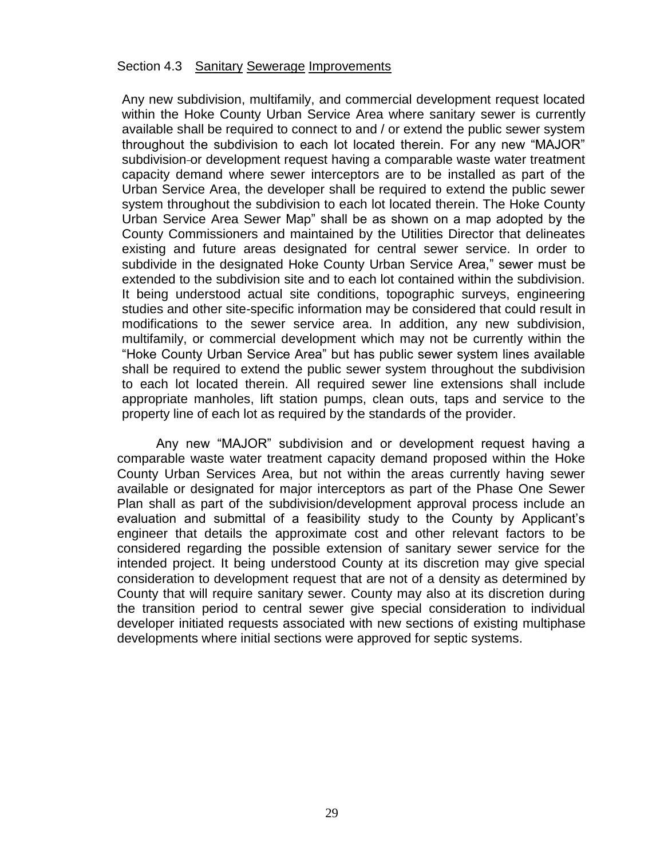#### <span id="page-29-0"></span>Section 4.3 Sanitary Sewerage Improvements

Any new subdivision, multifamily, and commercial development request located within the Hoke County Urban Service Area where sanitary sewer is currently available shall be required to connect to and / or extend the public sewer system throughout the subdivision to each lot located therein. For any new "MAJOR" subdivision-or development request having a comparable waste water treatment capacity demand where sewer interceptors are to be installed as part of the Urban Service Area, the developer shall be required to extend the public sewer system throughout the subdivision to each lot located therein. The Hoke County Urban Service Area Sewer Map" shall be as shown on a map adopted by the County Commissioners and maintained by the Utilities Director that delineates existing and future areas designated for central sewer service. In order to subdivide in the designated Hoke County Urban Service Area," sewer must be extended to the subdivision site and to each lot contained within the subdivision. It being understood actual site conditions, topographic surveys, engineering studies and other site-specific information may be considered that could result in modifications to the sewer service area. In addition, any new subdivision, multifamily, or commercial development which may not be currently within the "Hoke County Urban Service Area" but has public sewer system lines available shall be required to extend the public sewer system throughout the subdivision to each lot located therein. All required sewer line extensions shall include appropriate manholes, lift station pumps, clean outs, taps and service to the property line of each lot as required by the standards of the provider.

<span id="page-29-1"></span>Any new "MAJOR" subdivision and or development request having a comparable waste water treatment capacity demand proposed within the Hoke County Urban Services Area, but not within the areas currently having sewer available or designated for major interceptors as part of the Phase One Sewer Plan shall as part of the subdivision/development approval process include an evaluation and submittal of a feasibility study to the County by Applicant's engineer that details the approximate cost and other relevant factors to be considered regarding the possible extension of sanitary sewer service for the intended project. It being understood County at its discretion may give special consideration to development request that are not of a density as determined by County that will require sanitary sewer. County may also at its discretion during the transition period to central sewer give special consideration to individual developer initiated requests associated with new sections of existing multiphase developments where initial sections were approved for septic systems.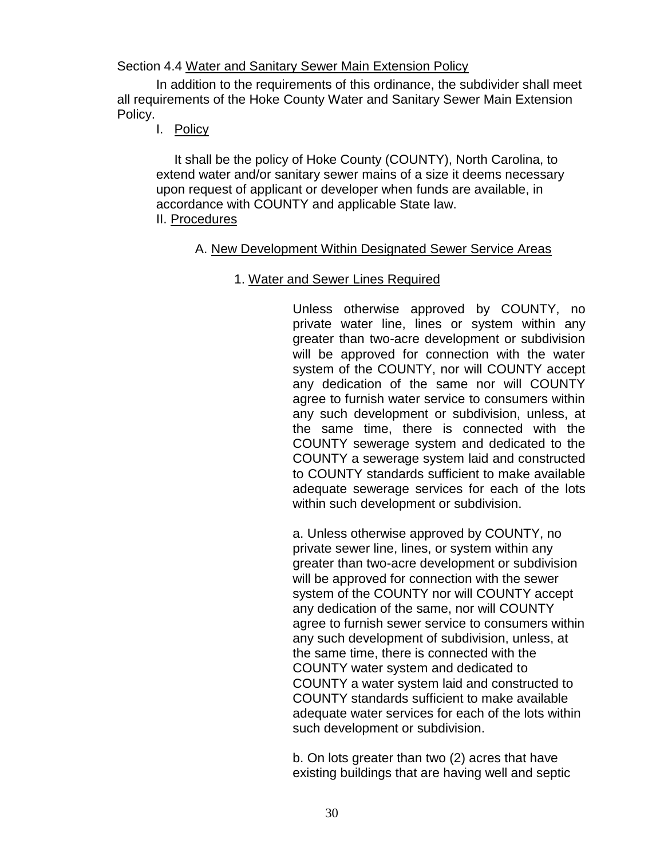Section 4.4 Water and Sanitary Sewer Main Extension Policy

In addition to the requirements of this ordinance, the subdivider shall meet all requirements of the Hoke County Water and Sanitary Sewer Main Extension Policy.

I. Policy

 It shall be the policy of Hoke County (COUNTY), North Carolina, to extend water and/or sanitary sewer mains of a size it deems necessary upon request of applicant or developer when funds are available, in accordance with COUNTY and applicable State law. II. Procedures

# A. New Development Within Designated Sewer Service Areas

1. Water and Sewer Lines Required

Unless otherwise approved by COUNTY, no private water line, lines or system within any greater than two-acre development or subdivision will be approved for connection with the water system of the COUNTY, nor will COUNTY accept any dedication of the same nor will COUNTY agree to furnish water service to consumers within any such development or subdivision, unless, at the same time, there is connected with the COUNTY sewerage system and dedicated to the COUNTY a sewerage system laid and constructed to COUNTY standards sufficient to make available adequate sewerage services for each of the lots within such development or subdivision.

a. Unless otherwise approved by COUNTY, no private sewer line, lines, or system within any greater than two-acre development or subdivision will be approved for connection with the sewer system of the COUNTY nor will COUNTY accept any dedication of the same, nor will COUNTY agree to furnish sewer service to consumers within any such development of subdivision, unless, at the same time, there is connected with the COUNTY water system and dedicated to COUNTY a water system laid and constructed to COUNTY standards sufficient to make available adequate water services for each of the lots within such development or subdivision.

b. On lots greater than two (2) acres that have existing buildings that are having well and septic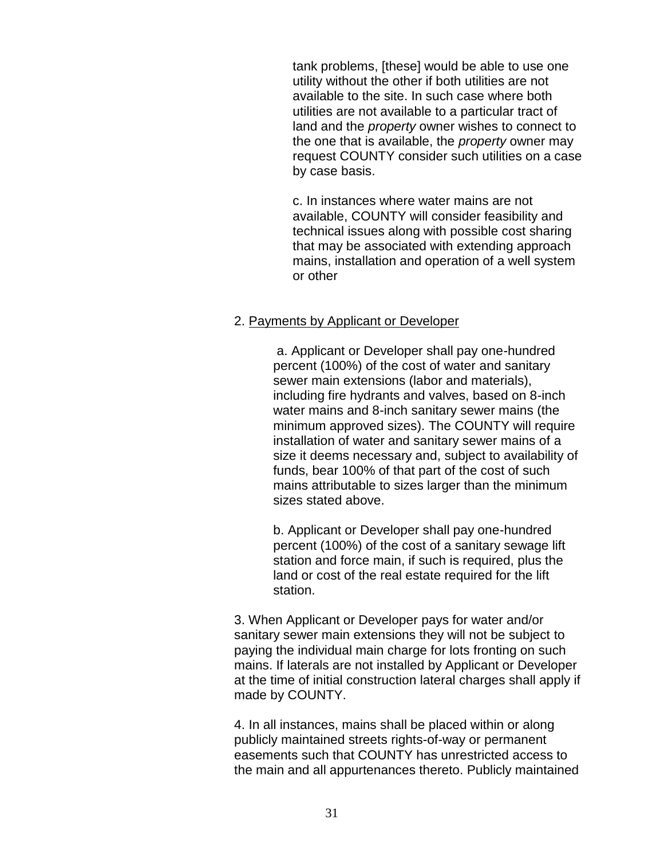tank problems, [these] would be able to use one utility without the other if both utilities are not available to the site. In such case where both utilities are not available to a particular tract of land and the *property* owner wishes to connect to the one that is available, the *property* owner may request COUNTY consider such utilities on a case by case basis.

c. In instances where water mains are not available, COUNTY will consider feasibility and technical issues along with possible cost sharing that may be associated with extending approach mains, installation and operation of a well system or other

## 2. Payments by Applicant or Developer

a. Applicant or Developer shall pay one-hundred percent (100%) of the cost of water and sanitary sewer main extensions (labor and materials), including fire hydrants and valves, based on 8-inch water mains and 8-inch sanitary sewer mains (the minimum approved sizes). The COUNTY will require installation of water and sanitary sewer mains of a size it deems necessary and, subject to availability of funds, bear 100% of that part of the cost of such mains attributable to sizes larger than the minimum sizes stated above.

b. Applicant or Developer shall pay one-hundred percent (100%) of the cost of a sanitary sewage lift station and force main, if such is required, plus the land or cost of the real estate required for the lift station.

3. When Applicant or Developer pays for water and/or sanitary sewer main extensions they will not be subject to paying the individual main charge for lots fronting on such mains. If laterals are not installed by Applicant or Developer at the time of initial construction lateral charges shall apply if made by COUNTY.

4. In all instances, mains shall be placed within or along publicly maintained streets rights-of-way or permanent easements such that COUNTY has unrestricted access to the main and all appurtenances thereto. Publicly maintained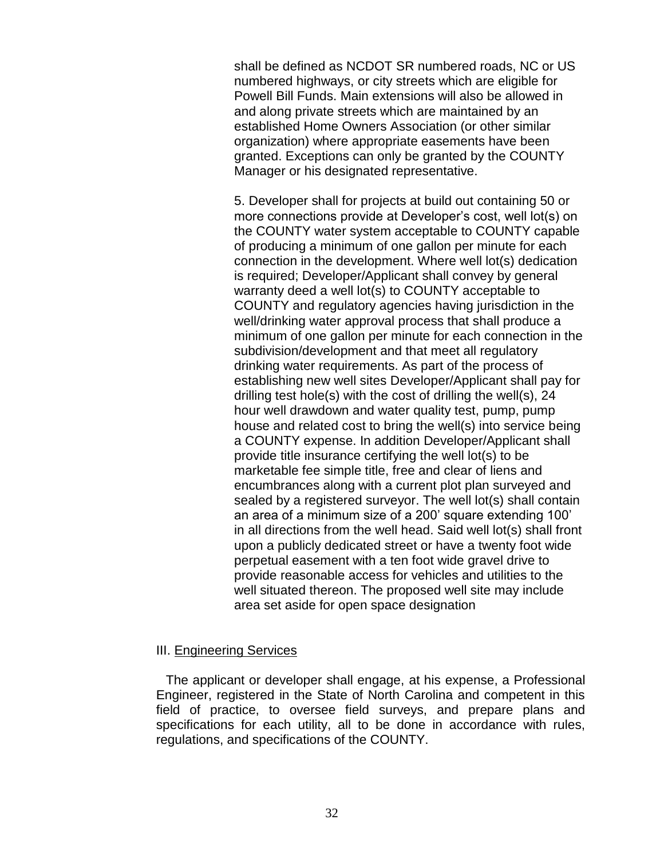shall be defined as NCDOT SR numbered roads, NC or US numbered highways, or city streets which are eligible for Powell Bill Funds. Main extensions will also be allowed in and along private streets which are maintained by an established Home Owners Association (or other similar organization) where appropriate easements have been granted. Exceptions can only be granted by the COUNTY Manager or his designated representative.

5. Developer shall for projects at build out containing 50 or more connections provide at Developer's cost, well lot(s) on the COUNTY water system acceptable to COUNTY capable of producing a minimum of one gallon per minute for each connection in the development. Where well lot(s) dedication is required; Developer/Applicant shall convey by general warranty deed a well lot(s) to COUNTY acceptable to COUNTY and regulatory agencies having jurisdiction in the well/drinking water approval process that shall produce a minimum of one gallon per minute for each connection in the subdivision/development and that meet all regulatory drinking water requirements. As part of the process of establishing new well sites Developer/Applicant shall pay for drilling test hole(s) with the cost of drilling the well(s), 24 hour well drawdown and water quality test, pump, pump house and related cost to bring the well(s) into service being a COUNTY expense. In addition Developer/Applicant shall provide title insurance certifying the well lot(s) to be marketable fee simple title, free and clear of liens and encumbrances along with a current plot plan surveyed and sealed by a registered surveyor. The well lot(s) shall contain an area of a minimum size of a 200' square extending 100' in all directions from the well head. Said well lot(s) shall front upon a publicly dedicated street or have a twenty foot wide perpetual easement with a ten foot wide gravel drive to provide reasonable access for vehicles and utilities to the well situated thereon. The proposed well site may include area set aside for open space designation

## III. Engineering Services

The applicant or developer shall engage, at his expense, a Professional Engineer, registered in the State of North Carolina and competent in this field of practice, to oversee field surveys, and prepare plans and specifications for each utility, all to be done in accordance with rules, regulations, and specifications of the COUNTY.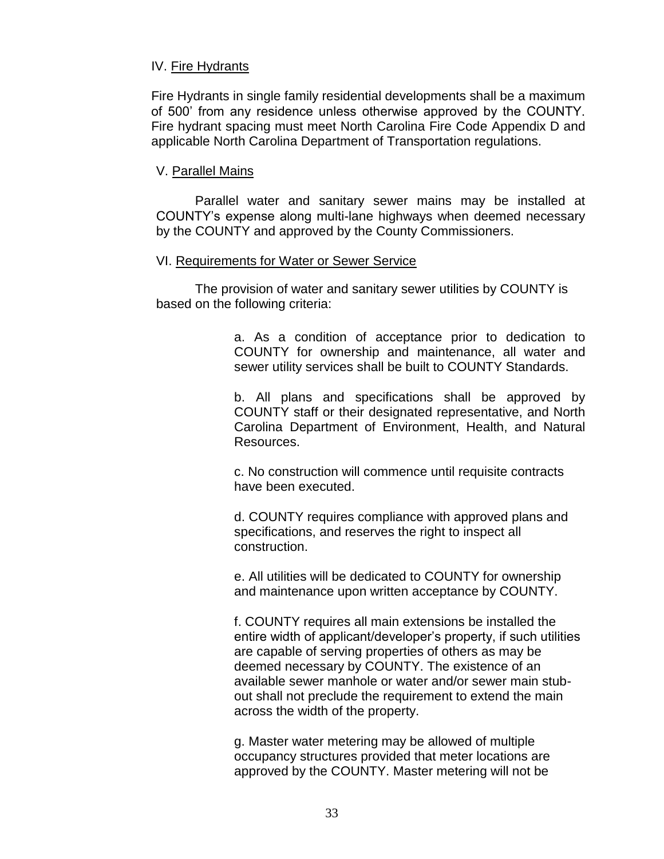## IV. Fire Hydrants

Fire Hydrants in single family residential developments shall be a maximum of 500' from any residence unless otherwise approved by the COUNTY. Fire hydrant spacing must meet North Carolina Fire Code Appendix D and applicable North Carolina Department of Transportation regulations.

## V. Parallel Mains

Parallel water and sanitary sewer mains may be installed at COUNTY's expense along multi-lane highways when deemed necessary by the COUNTY and approved by the County Commissioners.

## VI. Requirements for Water or Sewer Service

The provision of water and sanitary sewer utilities by COUNTY is based on the following criteria:

> a. As a condition of acceptance prior to dedication to COUNTY for ownership and maintenance, all water and sewer utility services shall be built to COUNTY Standards.

> b. All plans and specifications shall be approved by COUNTY staff or their designated representative, and North Carolina Department of Environment, Health, and Natural Resources.

c. No construction will commence until requisite contracts have been executed.

d. COUNTY requires compliance with approved plans and specifications, and reserves the right to inspect all construction.

e. All utilities will be dedicated to COUNTY for ownership and maintenance upon written acceptance by COUNTY.

f. COUNTY requires all main extensions be installed the entire width of applicant/developer's property, if such utilities are capable of serving properties of others as may be deemed necessary by COUNTY. The existence of an available sewer manhole or water and/or sewer main stubout shall not preclude the requirement to extend the main across the width of the property.

g. Master water metering may be allowed of multiple occupancy structures provided that meter locations are approved by the COUNTY. Master metering will not be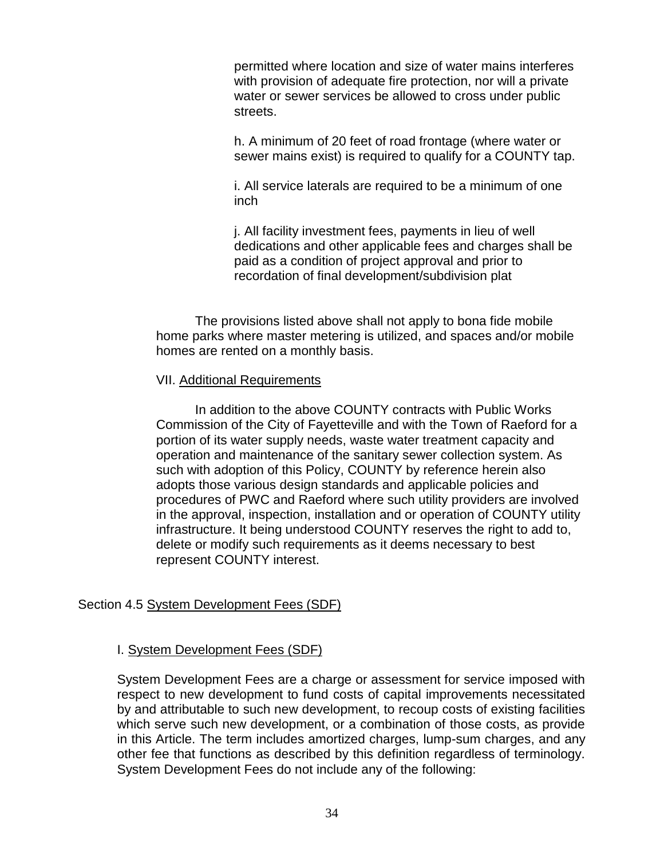permitted where location and size of water mains interferes with provision of adequate fire protection, nor will a private water or sewer services be allowed to cross under public streets.

h. A minimum of 20 feet of road frontage (where water or sewer mains exist) is required to qualify for a COUNTY tap.

i. All service laterals are required to be a minimum of one inch

j. All facility investment fees, payments in lieu of well dedications and other applicable fees and charges shall be paid as a condition of project approval and prior to recordation of final development/subdivision plat

The provisions listed above shall not apply to bona fide mobile home parks where master metering is utilized, and spaces and/or mobile homes are rented on a monthly basis.

## VII. Additional Requirements

In addition to the above COUNTY contracts with Public Works Commission of the City of Fayetteville and with the Town of Raeford for a portion of its water supply needs, waste water treatment capacity and operation and maintenance of the sanitary sewer collection system. As such with adoption of this Policy, COUNTY by reference herein also adopts those various design standards and applicable policies and procedures of PWC and Raeford where such utility providers are involved in the approval, inspection, installation and or operation of COUNTY utility infrastructure. It being understood COUNTY reserves the right to add to, delete or modify such requirements as it deems necessary to best represent COUNTY interest.

# Section 4.5 System Development Fees (SDF)

# I. System Development Fees (SDF)

System Development Fees are a charge or assessment for service imposed with respect to new development to fund costs of capital improvements necessitated by and attributable to such new development, to recoup costs of existing facilities which serve such new development, or a combination of those costs, as provide in this Article. The term includes amortized charges, lump-sum charges, and any other fee that functions as described by this definition regardless of terminology. System Development Fees do not include any of the following: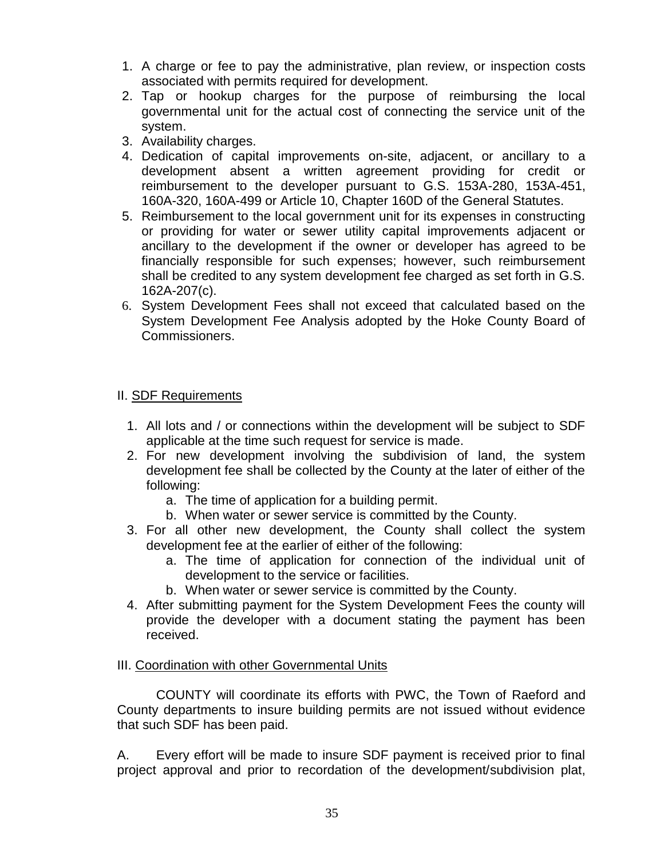- 1. A charge or fee to pay the administrative, plan review, or inspection costs associated with permits required for development.
- 2. Tap or hookup charges for the purpose of reimbursing the local governmental unit for the actual cost of connecting the service unit of the system.
- 3. Availability charges.
- 4. Dedication of capital improvements on-site, adjacent, or ancillary to a development absent a written agreement providing for credit or reimbursement to the developer pursuant to G.S. 153A-280, 153A-451, 160A-320, 160A-499 or Article 10, Chapter 160D of the General Statutes.
- 5. Reimbursement to the local government unit for its expenses in constructing or providing for water or sewer utility capital improvements adjacent or ancillary to the development if the owner or developer has agreed to be financially responsible for such expenses; however, such reimbursement shall be credited to any system development fee charged as set forth in G.S. 162A-207(c).
- 6. System Development Fees shall not exceed that calculated based on the System Development Fee Analysis adopted by the Hoke County Board of Commissioners.

# II. SDF Requirements

- 1. All lots and / or connections within the development will be subject to SDF applicable at the time such request for service is made.
- 2. For new development involving the subdivision of land, the system development fee shall be collected by the County at the later of either of the following:
	- a. The time of application for a building permit.
	- b. When water or sewer service is committed by the County.
- 3. For all other new development, the County shall collect the system development fee at the earlier of either of the following:
	- a. The time of application for connection of the individual unit of development to the service or facilities.
	- b. When water or sewer service is committed by the County.
- 4. After submitting payment for the System Development Fees the county will provide the developer with a document stating the payment has been received.

# III. Coordination with other Governmental Units

COUNTY will coordinate its efforts with PWC, the Town of Raeford and County departments to insure building permits are not issued without evidence that such SDF has been paid.

A. Every effort will be made to insure SDF payment is received prior to final project approval and prior to recordation of the development/subdivision plat,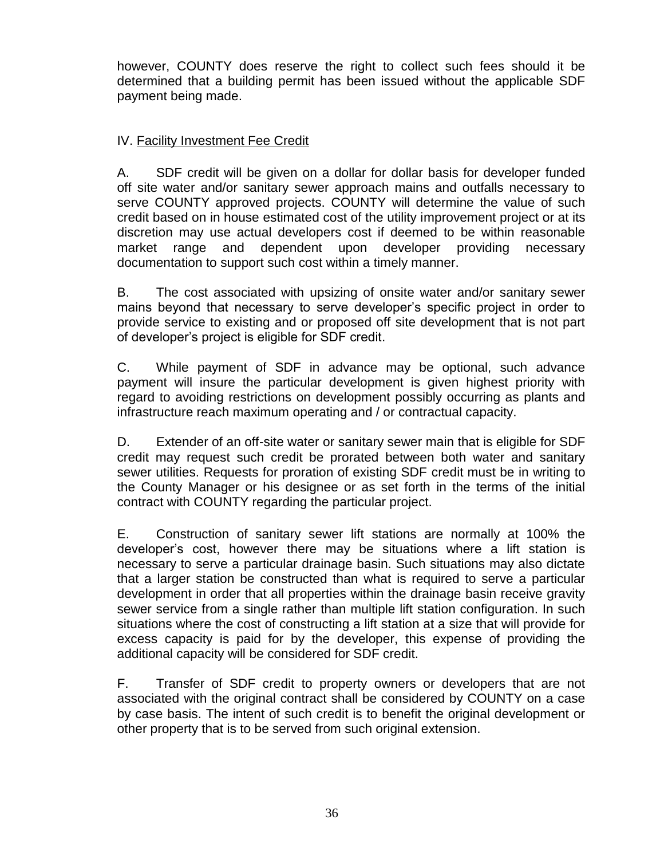however, COUNTY does reserve the right to collect such fees should it be determined that a building permit has been issued without the applicable SDF payment being made.

# IV. Facility Investment Fee Credit

A. SDF credit will be given on a dollar for dollar basis for developer funded off site water and/or sanitary sewer approach mains and outfalls necessary to serve COUNTY approved projects. COUNTY will determine the value of such credit based on in house estimated cost of the utility improvement project or at its discretion may use actual developers cost if deemed to be within reasonable market range and dependent upon developer providing necessary documentation to support such cost within a timely manner.

B. The cost associated with upsizing of onsite water and/or sanitary sewer mains beyond that necessary to serve developer's specific project in order to provide service to existing and or proposed off site development that is not part of developer's project is eligible for SDF credit.

C. While payment of SDF in advance may be optional, such advance payment will insure the particular development is given highest priority with regard to avoiding restrictions on development possibly occurring as plants and infrastructure reach maximum operating and / or contractual capacity.

D. Extender of an off-site water or sanitary sewer main that is eligible for SDF credit may request such credit be prorated between both water and sanitary sewer utilities. Requests for proration of existing SDF credit must be in writing to the County Manager or his designee or as set forth in the terms of the initial contract with COUNTY regarding the particular project.

E. Construction of sanitary sewer lift stations are normally at 100% the developer's cost, however there may be situations where a lift station is necessary to serve a particular drainage basin. Such situations may also dictate that a larger station be constructed than what is required to serve a particular development in order that all properties within the drainage basin receive gravity sewer service from a single rather than multiple lift station configuration. In such situations where the cost of constructing a lift station at a size that will provide for excess capacity is paid for by the developer, this expense of providing the additional capacity will be considered for SDF credit.

F. Transfer of SDF credit to property owners or developers that are not associated with the original contract shall be considered by COUNTY on a case by case basis. The intent of such credit is to benefit the original development or other property that is to be served from such original extension.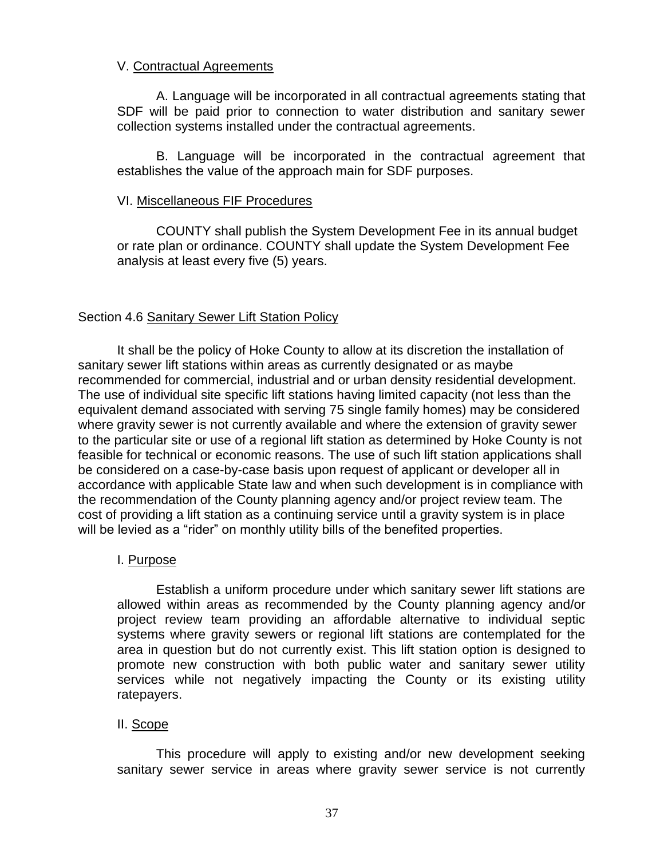## V. Contractual Agreements

A. Language will be incorporated in all contractual agreements stating that SDF will be paid prior to connection to water distribution and sanitary sewer collection systems installed under the contractual agreements.

B. Language will be incorporated in the contractual agreement that establishes the value of the approach main for SDF purposes.

## VI. Miscellaneous FIF Procedures

COUNTY shall publish the System Development Fee in its annual budget or rate plan or ordinance. COUNTY shall update the System Development Fee analysis at least every five (5) years.

# Section 4.6 Sanitary Sewer Lift Station Policy

It shall be the policy of Hoke County to allow at its discretion the installation of sanitary sewer lift stations within areas as currently designated or as maybe recommended for commercial, industrial and or urban density residential development. The use of individual site specific lift stations having limited capacity (not less than the equivalent demand associated with serving 75 single family homes) may be considered where gravity sewer is not currently available and where the extension of gravity sewer to the particular site or use of a regional lift station as determined by Hoke County is not feasible for technical or economic reasons. The use of such lift station applications shall be considered on a case-by-case basis upon request of applicant or developer all in accordance with applicable State law and when such development is in compliance with the recommendation of the County planning agency and/or project review team. The cost of providing a lift station as a continuing service until a gravity system is in place will be levied as a "rider" on monthly utility bills of the benefited properties.

# I. Purpose

Establish a uniform procedure under which sanitary sewer lift stations are allowed within areas as recommended by the County planning agency and/or project review team providing an affordable alternative to individual septic systems where gravity sewers or regional lift stations are contemplated for the area in question but do not currently exist. This lift station option is designed to promote new construction with both public water and sanitary sewer utility services while not negatively impacting the County or its existing utility ratepayers.

## II. Scope

This procedure will apply to existing and/or new development seeking sanitary sewer service in areas where gravity sewer service is not currently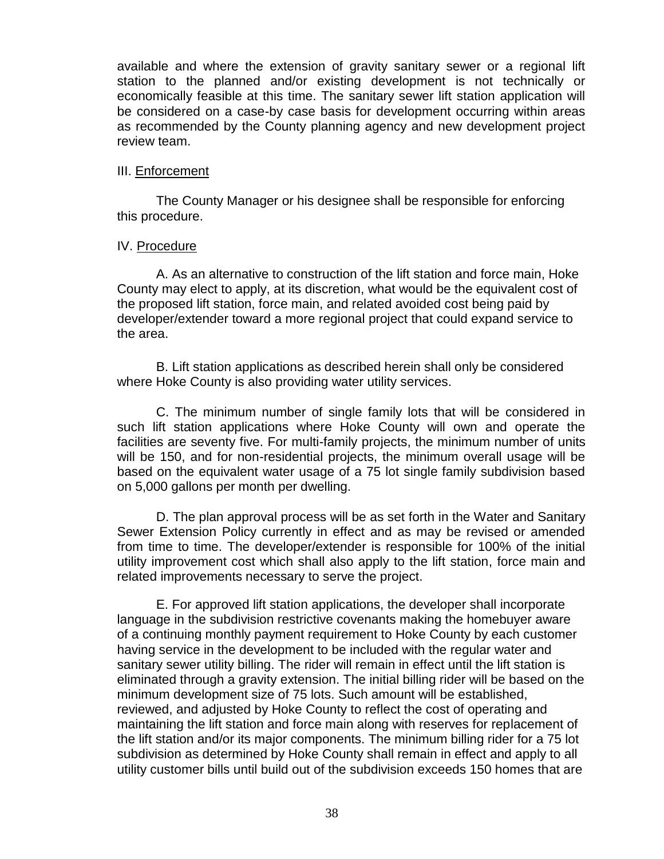available and where the extension of gravity sanitary sewer or a regional lift station to the planned and/or existing development is not technically or economically feasible at this time. The sanitary sewer lift station application will be considered on a case-by case basis for development occurring within areas as recommended by the County planning agency and new development project review team.

## III. Enforcement

The County Manager or his designee shall be responsible for enforcing this procedure.

## IV. Procedure

A. As an alternative to construction of the lift station and force main, Hoke County may elect to apply, at its discretion, what would be the equivalent cost of the proposed lift station, force main, and related avoided cost being paid by developer/extender toward a more regional project that could expand service to the area.

B. Lift station applications as described herein shall only be considered where Hoke County is also providing water utility services.

C. The minimum number of single family lots that will be considered in such lift station applications where Hoke County will own and operate the facilities are seventy five. For multi-family projects, the minimum number of units will be 150, and for non-residential projects, the minimum overall usage will be based on the equivalent water usage of a 75 lot single family subdivision based on 5,000 gallons per month per dwelling.

D. The plan approval process will be as set forth in the Water and Sanitary Sewer Extension Policy currently in effect and as may be revised or amended from time to time. The developer/extender is responsible for 100% of the initial utility improvement cost which shall also apply to the lift station, force main and related improvements necessary to serve the project.

E. For approved lift station applications, the developer shall incorporate language in the subdivision restrictive covenants making the homebuyer aware of a continuing monthly payment requirement to Hoke County by each customer having service in the development to be included with the regular water and sanitary sewer utility billing. The rider will remain in effect until the lift station is eliminated through a gravity extension. The initial billing rider will be based on the minimum development size of 75 lots. Such amount will be established, reviewed, and adjusted by Hoke County to reflect the cost of operating and maintaining the lift station and force main along with reserves for replacement of the lift station and/or its major components. The minimum billing rider for a 75 lot subdivision as determined by Hoke County shall remain in effect and apply to all utility customer bills until build out of the subdivision exceeds 150 homes that are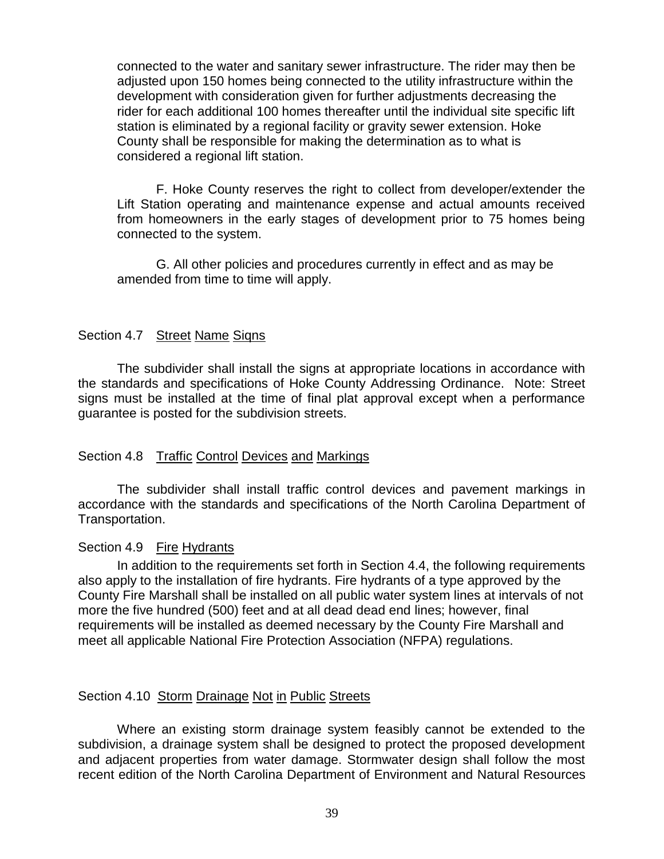connected to the water and sanitary sewer infrastructure. The rider may then be adjusted upon 150 homes being connected to the utility infrastructure within the development with consideration given for further adjustments decreasing the rider for each additional 100 homes thereafter until the individual site specific lift station is eliminated by a regional facility or gravity sewer extension. Hoke County shall be responsible for making the determination as to what is considered a regional lift station.

F. Hoke County reserves the right to collect from developer/extender the Lift Station operating and maintenance expense and actual amounts received from homeowners in the early stages of development prior to 75 homes being connected to the system.

G. All other policies and procedures currently in effect and as may be amended from time to time will apply.

## Section 4.7 Street Name Signs

The subdivider shall install the signs at appropriate locations in accordance with the standards and specifications of Hoke County Addressing Ordinance. Note: Street signs must be installed at the time of final plat approval except when a performance guarantee is posted for the subdivision streets.

# <span id="page-39-0"></span>Section 4.8 Traffic Control Devices and Markings

The subdivider shall install traffic control devices and pavement markings in accordance with the standards and specifications of the North Carolina Department of Transportation.

## <span id="page-39-1"></span>Section 4.9 Fire Hydrants

In addition to the requirements set forth in Section 4.4, the following requirements also apply to the installation of fire hydrants. Fire hydrants of a type approved by the County Fire Marshall shall be installed on all public water system lines at intervals of not more the five hundred (500) feet and at all dead dead end lines; however, final requirements will be installed as deemed necessary by the County Fire Marshall and meet all applicable National Fire Protection Association (NFPA) regulations.

# Section 4.10 Storm Drainage Not in Public Streets

Where an existing storm drainage system feasibly cannot be extended to the subdivision, a drainage system shall be designed to protect the proposed development and adjacent properties from water damage. Stormwater design shall follow the most recent edition of the North Carolina Department of Environment and Natural Resources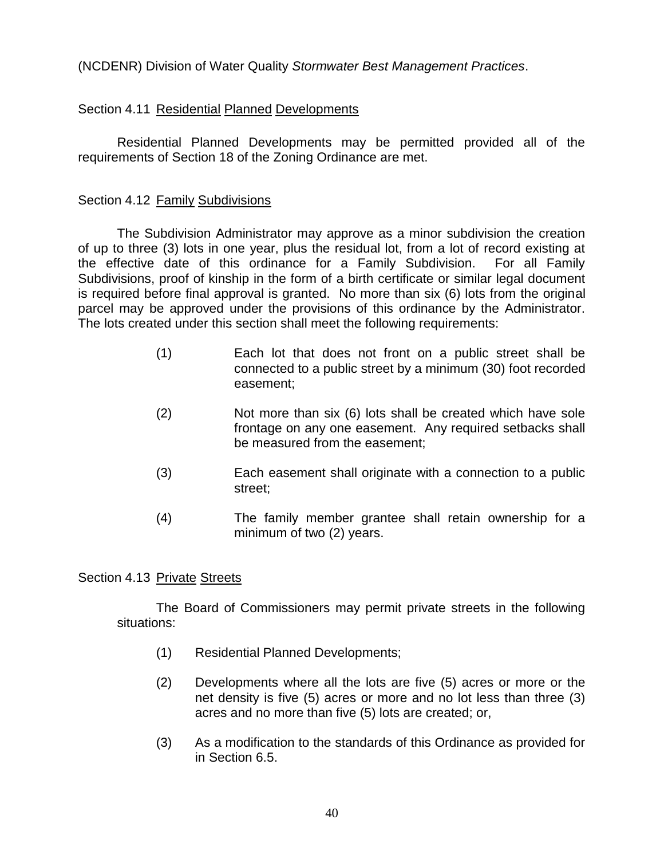(NCDENR) Division of Water Quality *Stormwater Best Management Practices*.

# <span id="page-40-0"></span>Section 4.11 Residential Planned Developments

Residential Planned Developments may be permitted provided all of the requirements of Section 18 of the Zoning Ordinance are met.

# <span id="page-40-1"></span>Section 4.12 Family Subdivisions

The Subdivision Administrator may approve as a minor subdivision the creation of up to three (3) lots in one year, plus the residual lot, from a lot of record existing at the effective date of this ordinance for a Family Subdivision. For all Family Subdivisions, proof of kinship in the form of a birth certificate or similar legal document is required before final approval is granted. No more than six (6) lots from the original parcel may be approved under the provisions of this ordinance by the Administrator. The lots created under this section shall meet the following requirements:

- (1) Each lot that does not front on a public street shall be connected to a public street by a minimum (30) foot recorded easement;
- (2) Not more than six (6) lots shall be created which have sole frontage on any one easement. Any required setbacks shall be measured from the easement;
- (3) Each easement shall originate with a connection to a public street;
- (4) The family member grantee shall retain ownership for a minimum of two (2) years.

# <span id="page-40-2"></span>Section 4.13 Private Streets

The Board of Commissioners may permit private streets in the following situations:

- (1) Residential Planned Developments;
- (2) Developments where all the lots are five (5) acres or more or the net density is five (5) acres or more and no lot less than three (3) acres and no more than five (5) lots are created; or,
- (3) As a modification to the standards of this Ordinance as provided for in Section 6.5.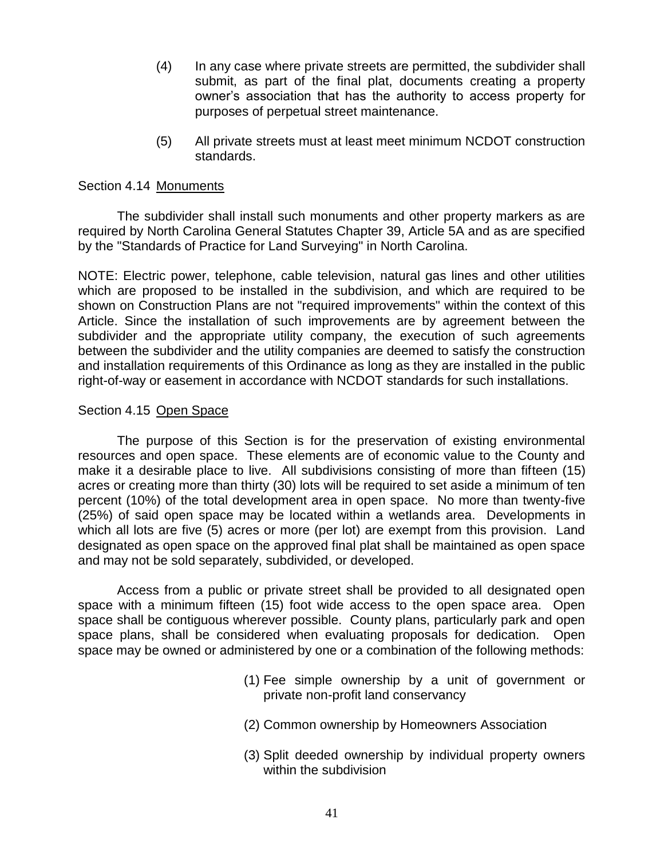- (4) In any case where private streets are permitted, the subdivider shall submit, as part of the final plat, documents creating a property owner's association that has the authority to access property for purposes of perpetual street maintenance.
- <span id="page-41-0"></span>(5) All private streets must at least meet minimum NCDOT construction standards.

## Section 4.14 Monuments

The subdivider shall install such monuments and other property markers as are required by North Carolina General Statutes Chapter 39, Article 5A and as are specified by the "Standards of Practice for Land Surveying" in North Carolina.

NOTE: Electric power, telephone, cable television, natural gas lines and other utilities which are proposed to be installed in the subdivision, and which are required to be shown on Construction Plans are not "required improvements" within the context of this Article. Since the installation of such improvements are by agreement between the subdivider and the appropriate utility company, the execution of such agreements between the subdivider and the utility companies are deemed to satisfy the construction and installation requirements of this Ordinance as long as they are installed in the public right-of-way or easement in accordance with NCDOT standards for such installations.

## Section 4.15 Open Space

The purpose of this Section is for the preservation of existing environmental resources and open space. These elements are of economic value to the County and make it a desirable place to live. All subdivisions consisting of more than fifteen (15) acres or creating more than thirty (30) lots will be required to set aside a minimum of ten percent (10%) of the total development area in open space. No more than twenty-five (25%) of said open space may be located within a wetlands area. Developments in which all lots are five (5) acres or more (per lot) are exempt from this provision. Land designated as open space on the approved final plat shall be maintained as open space and may not be sold separately, subdivided, or developed.

Access from a public or private street shall be provided to all designated open space with a minimum fifteen (15) foot wide access to the open space area. Open space shall be contiguous wherever possible. County plans, particularly park and open space plans, shall be considered when evaluating proposals for dedication. Open space may be owned or administered by one or a combination of the following methods:

- (1) Fee simple ownership by a unit of government or private non-profit land conservancy
- (2) Common ownership by Homeowners Association
- (3) Split deeded ownership by individual property owners within the subdivision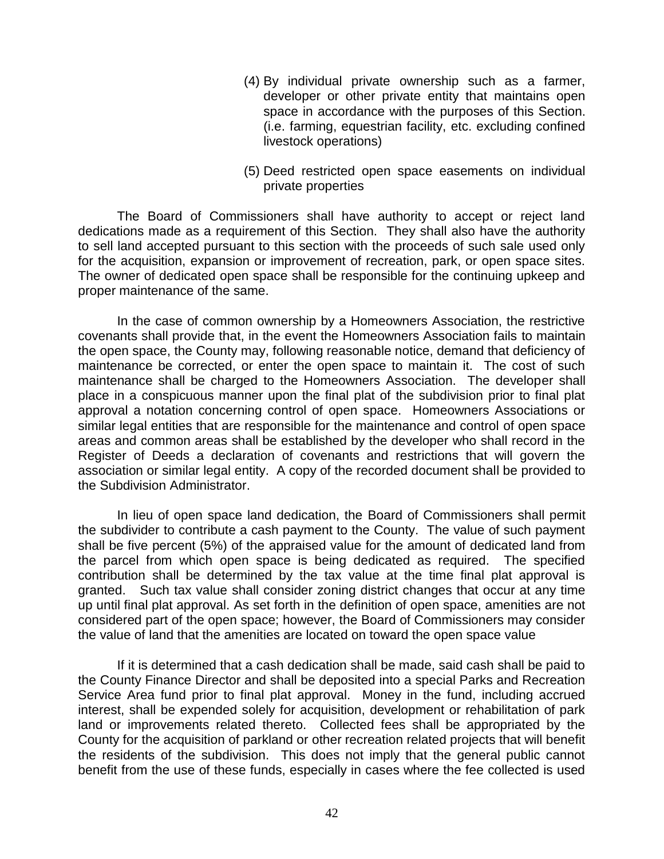- (4) By individual private ownership such as a farmer, developer or other private entity that maintains open space in accordance with the purposes of this Section. (i.e. farming, equestrian facility, etc. excluding confined livestock operations)
- (5) Deed restricted open space easements on individual private properties

The Board of Commissioners shall have authority to accept or reject land dedications made as a requirement of this Section. They shall also have the authority to sell land accepted pursuant to this section with the proceeds of such sale used only for the acquisition, expansion or improvement of recreation, park, or open space sites. The owner of dedicated open space shall be responsible for the continuing upkeep and proper maintenance of the same.

In the case of common ownership by a Homeowners Association, the restrictive covenants shall provide that, in the event the Homeowners Association fails to maintain the open space, the County may, following reasonable notice, demand that deficiency of maintenance be corrected, or enter the open space to maintain it. The cost of such maintenance shall be charged to the Homeowners Association. The developer shall place in a conspicuous manner upon the final plat of the subdivision prior to final plat approval a notation concerning control of open space. Homeowners Associations or similar legal entities that are responsible for the maintenance and control of open space areas and common areas shall be established by the developer who shall record in the Register of Deeds a declaration of covenants and restrictions that will govern the association or similar legal entity. A copy of the recorded document shall be provided to the Subdivision Administrator.

In lieu of open space land dedication, the Board of Commissioners shall permit the subdivider to contribute a cash payment to the County. The value of such payment shall be five percent (5%) of the appraised value for the amount of dedicated land from the parcel from which open space is being dedicated as required. The specified contribution shall be determined by the tax value at the time final plat approval is granted. Such tax value shall consider zoning district changes that occur at any time up until final plat approval. As set forth in the definition of open space, amenities are not considered part of the open space; however, the Board of Commissioners may consider the value of land that the amenities are located on toward the open space value

If it is determined that a cash dedication shall be made, said cash shall be paid to the County Finance Director and shall be deposited into a special Parks and Recreation Service Area fund prior to final plat approval. Money in the fund, including accrued interest, shall be expended solely for acquisition, development or rehabilitation of park land or improvements related thereto. Collected fees shall be appropriated by the County for the acquisition of parkland or other recreation related projects that will benefit the residents of the subdivision. This does not imply that the general public cannot benefit from the use of these funds, especially in cases where the fee collected is used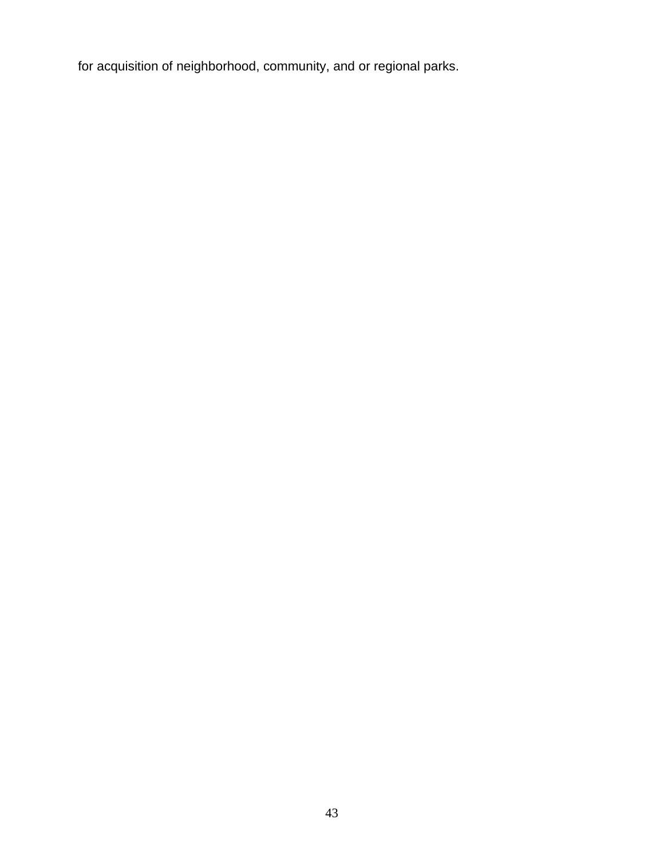for acquisition of neighborhood, community, and or regional parks.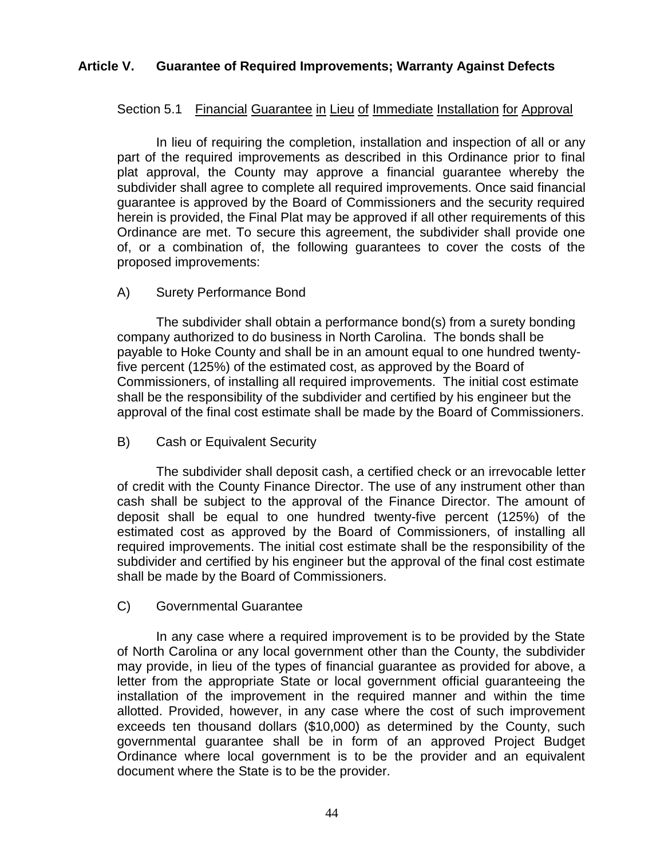# <span id="page-44-1"></span><span id="page-44-0"></span>**Article V. Guarantee of Required Improvements; Warranty Against Defects**

# Section 5.1 Financial Guarantee in Lieu of Immediate Installation for Approval

In lieu of requiring the completion, installation and inspection of all or any part of the required improvements as described in this Ordinance prior to final plat approval, the County may approve a financial guarantee whereby the subdivider shall agree to complete all required improvements. Once said financial guarantee is approved by the Board of Commissioners and the security required herein is provided, the Final Plat may be approved if all other requirements of this Ordinance are met. To secure this agreement, the subdivider shall provide one of, or a combination of, the following guarantees to cover the costs of the proposed improvements:

# A) Surety Performance Bond

The subdivider shall obtain a performance bond(s) from a surety bonding company authorized to do business in North Carolina. The bonds shall be payable to Hoke County and shall be in an amount equal to one hundred twentyfive percent (125%) of the estimated cost, as approved by the Board of Commissioners, of installing all required improvements. The initial cost estimate shall be the responsibility of the subdivider and certified by his engineer but the approval of the final cost estimate shall be made by the Board of Commissioners.

# B) Cash or Equivalent Security

The subdivider shall deposit cash, a certified check or an irrevocable letter of credit with the County Finance Director. The use of any instrument other than cash shall be subject to the approval of the Finance Director. The amount of deposit shall be equal to one hundred twenty-five percent (125%) of the estimated cost as approved by the Board of Commissioners, of installing all required improvements. The initial cost estimate shall be the responsibility of the subdivider and certified by his engineer but the approval of the final cost estimate shall be made by the Board of Commissioners.

# C) Governmental Guarantee

In any case where a required improvement is to be provided by the State of North Carolina or any local government other than the County, the subdivider may provide, in lieu of the types of financial guarantee as provided for above, a letter from the appropriate State or local government official guaranteeing the installation of the improvement in the required manner and within the time allotted. Provided, however, in any case where the cost of such improvement exceeds ten thousand dollars (\$10,000) as determined by the County, such governmental guarantee shall be in form of an approved Project Budget Ordinance where local government is to be the provider and an equivalent document where the State is to be the provider.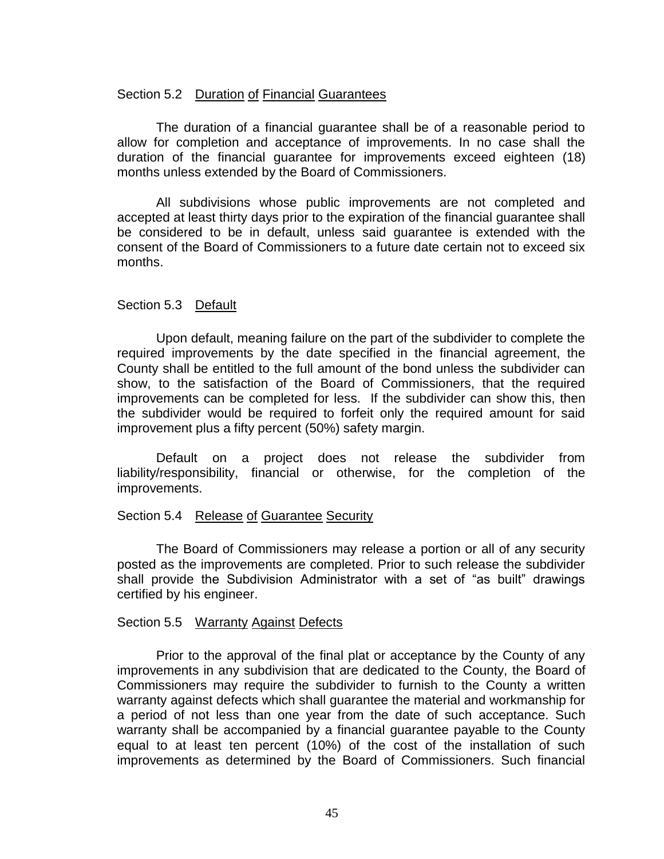## <span id="page-45-0"></span>Section 5.2 Duration of Financial Guarantees

The duration of a financial guarantee shall be of a reasonable period to allow for completion and acceptance of improvements. In no case shall the duration of the financial guarantee for improvements exceed eighteen (18) months unless extended by the Board of Commissioners.

All subdivisions whose public improvements are not completed and accepted at least thirty days prior to the expiration of the financial guarantee shall be considered to be in default, unless said guarantee is extended with the consent of the Board of Commissioners to a future date certain not to exceed six months.

## <span id="page-45-1"></span>Section 5.3 Default

Upon default, meaning failure on the part of the subdivider to complete the required improvements by the date specified in the financial agreement, the County shall be entitled to the full amount of the bond unless the subdivider can show, to the satisfaction of the Board of Commissioners, that the required improvements can be completed for less. If the subdivider can show this, then the subdivider would be required to forfeit only the required amount for said improvement plus a fifty percent (50%) safety margin.

Default on a project does not release the subdivider from liability/responsibility, financial or otherwise, for the completion of the improvements.

## <span id="page-45-2"></span>Section 5.4 Release of Guarantee Security

The Board of Commissioners may release a portion or all of any security posted as the improvements are completed. Prior to such release the subdivider shall provide the Subdivision Administrator with a set of "as built" drawings certified by his engineer.

## <span id="page-45-3"></span>Section 5.5 Warranty Against Defects

Prior to the approval of the final plat or acceptance by the County of any improvements in any subdivision that are dedicated to the County, the Board of Commissioners may require the subdivider to furnish to the County a written warranty against defects which shall guarantee the material and workmanship for a period of not less than one year from the date of such acceptance. Such warranty shall be accompanied by a financial guarantee payable to the County equal to at least ten percent (10%) of the cost of the installation of such improvements as determined by the Board of Commissioners. Such financial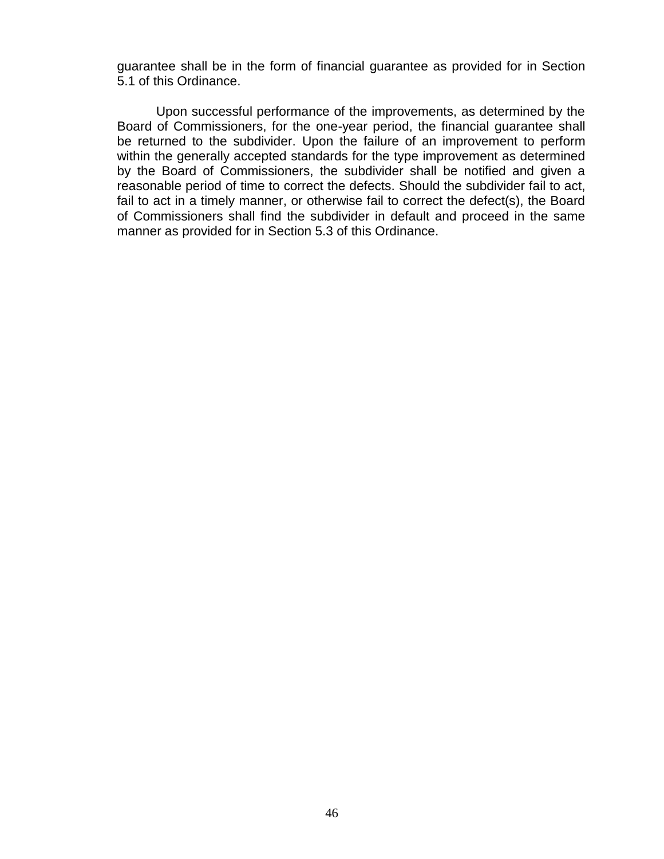guarantee shall be in the form of financial guarantee as provided for in Section 5.1 of this Ordinance.

Upon successful performance of the improvements, as determined by the Board of Commissioners, for the one-year period, the financial guarantee shall be returned to the subdivider. Upon the failure of an improvement to perform within the generally accepted standards for the type improvement as determined by the Board of Commissioners, the subdivider shall be notified and given a reasonable period of time to correct the defects. Should the subdivider fail to act, fail to act in a timely manner, or otherwise fail to correct the defect(s), the Board of Commissioners shall find the subdivider in default and proceed in the same manner as provided for in Section 5.3 of this Ordinance.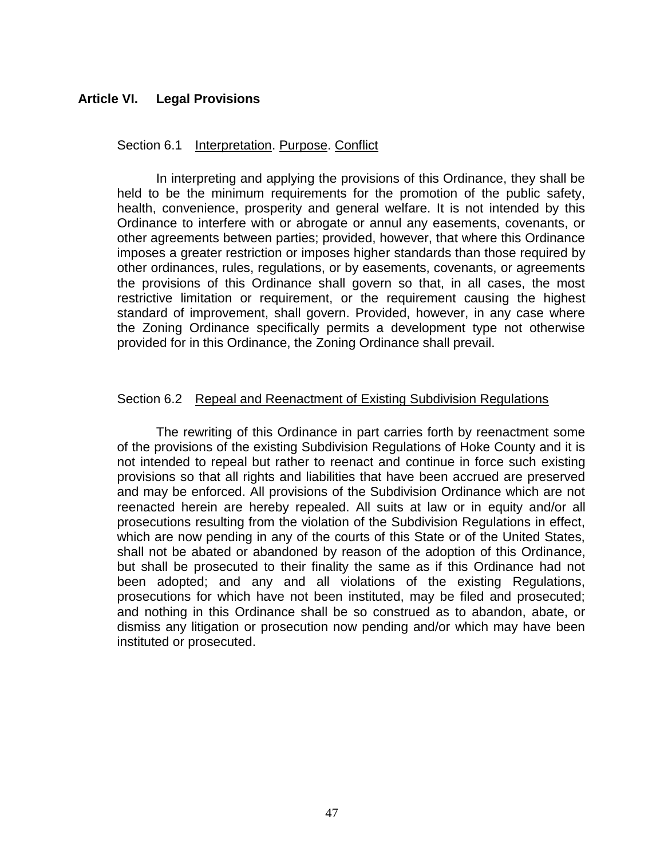# <span id="page-47-0"></span>**Article VI. Legal Provisions**

## <span id="page-47-1"></span>Section 6.1 Interpretation. Purpose. Conflict

In interpreting and applying the provisions of this Ordinance, they shall be held to be the minimum requirements for the promotion of the public safety, health, convenience, prosperity and general welfare. It is not intended by this Ordinance to interfere with or abrogate or annul any easements, covenants, or other agreements between parties; provided, however, that where this Ordinance imposes a greater restriction or imposes higher standards than those required by other ordinances, rules, regulations, or by easements, covenants, or agreements the provisions of this Ordinance shall govern so that, in all cases, the most restrictive limitation or requirement, or the requirement causing the highest standard of improvement, shall govern. Provided, however, in any case where the Zoning Ordinance specifically permits a development type not otherwise provided for in this Ordinance, the Zoning Ordinance shall prevail.

## <span id="page-47-2"></span>Section 6.2 Repeal and Reenactment of Existing Subdivision Regulations

The rewriting of this Ordinance in part carries forth by reenactment some of the provisions of the existing Subdivision Regulations of Hoke County and it is not intended to repeal but rather to reenact and continue in force such existing provisions so that all rights and liabilities that have been accrued are preserved and may be enforced. All provisions of the Subdivision Ordinance which are not reenacted herein are hereby repealed. All suits at law or in equity and/or all prosecutions resulting from the violation of the Subdivision Regulations in effect, which are now pending in any of the courts of this State or of the United States, shall not be abated or abandoned by reason of the adoption of this Ordinance, but shall be prosecuted to their finality the same as if this Ordinance had not been adopted; and any and all violations of the existing Regulations, prosecutions for which have not been instituted, may be filed and prosecuted; and nothing in this Ordinance shall be so construed as to abandon, abate, or dismiss any litigation or prosecution now pending and/or which may have been instituted or prosecuted.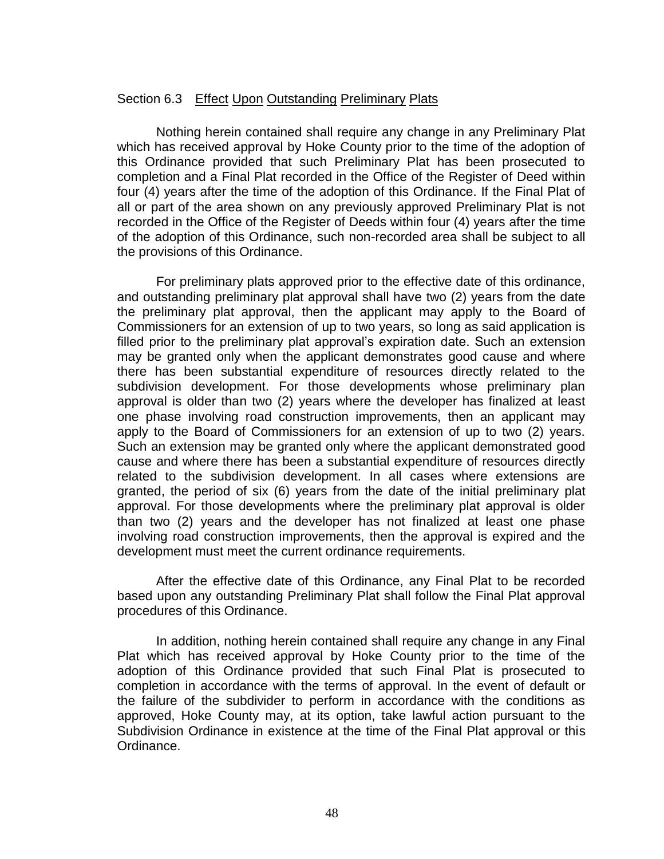## <span id="page-48-0"></span>Section 6.3 Effect Upon Outstanding Preliminary Plats

Nothing herein contained shall require any change in any Preliminary Plat which has received approval by Hoke County prior to the time of the adoption of this Ordinance provided that such Preliminary Plat has been prosecuted to completion and a Final Plat recorded in the Office of the Register of Deed within four (4) years after the time of the adoption of this Ordinance. If the Final Plat of all or part of the area shown on any previously approved Preliminary Plat is not recorded in the Office of the Register of Deeds within four (4) years after the time of the adoption of this Ordinance, such non-recorded area shall be subject to all the provisions of this Ordinance.

For preliminary plats approved prior to the effective date of this ordinance, and outstanding preliminary plat approval shall have two (2) years from the date the preliminary plat approval, then the applicant may apply to the Board of Commissioners for an extension of up to two years, so long as said application is filled prior to the preliminary plat approval's expiration date. Such an extension may be granted only when the applicant demonstrates good cause and where there has been substantial expenditure of resources directly related to the subdivision development. For those developments whose preliminary plan approval is older than two (2) years where the developer has finalized at least one phase involving road construction improvements, then an applicant may apply to the Board of Commissioners for an extension of up to two (2) years. Such an extension may be granted only where the applicant demonstrated good cause and where there has been a substantial expenditure of resources directly related to the subdivision development. In all cases where extensions are granted, the period of six (6) years from the date of the initial preliminary plat approval. For those developments where the preliminary plat approval is older than two (2) years and the developer has not finalized at least one phase involving road construction improvements, then the approval is expired and the development must meet the current ordinance requirements.

After the effective date of this Ordinance, any Final Plat to be recorded based upon any outstanding Preliminary Plat shall follow the Final Plat approval procedures of this Ordinance.

In addition, nothing herein contained shall require any change in any Final Plat which has received approval by Hoke County prior to the time of the adoption of this Ordinance provided that such Final Plat is prosecuted to completion in accordance with the terms of approval. In the event of default or the failure of the subdivider to perform in accordance with the conditions as approved, Hoke County may, at its option, take lawful action pursuant to the Subdivision Ordinance in existence at the time of the Final Plat approval or this Ordinance.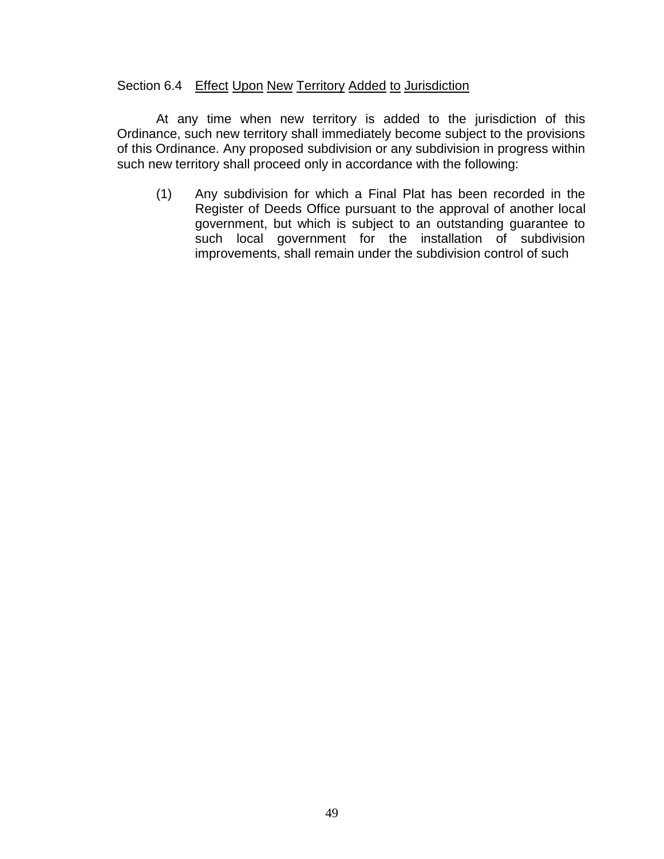## <span id="page-49-0"></span>Section 6.4 Effect Upon New Territory Added to Jurisdiction

At any time when new territory is added to the jurisdiction of this Ordinance, such new territory shall immediately become subject to the provisions of this Ordinance. Any proposed subdivision or any subdivision in progress within such new territory shall proceed only in accordance with the following:

(1) Any subdivision for which a Final Plat has been recorded in the Register of Deeds Office pursuant to the approval of another local government, but which is subject to an outstanding guarantee to such local government for the installation of subdivision improvements, shall remain under the subdivision control of such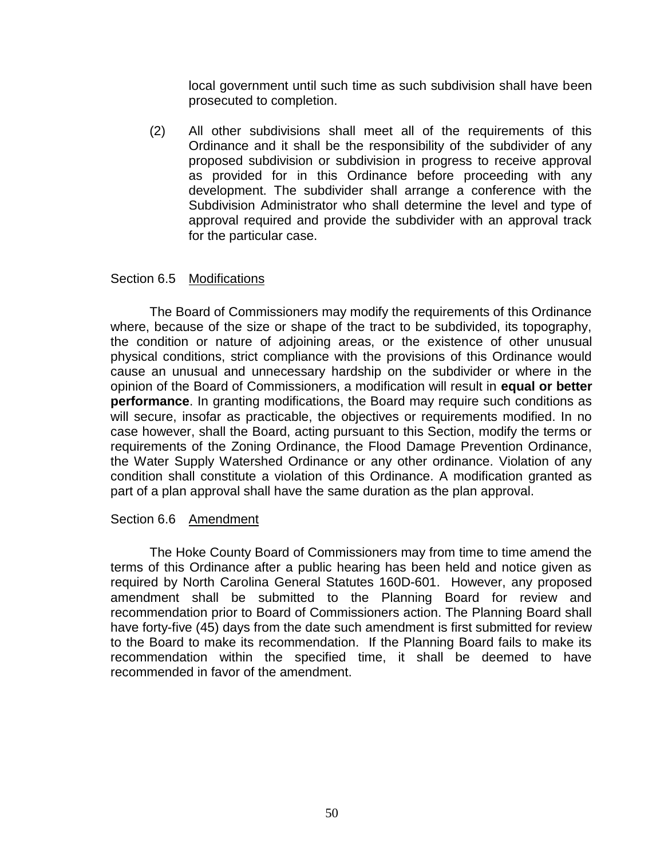local government until such time as such subdivision shall have been prosecuted to completion.

(2) All other subdivisions shall meet all of the requirements of this Ordinance and it shall be the responsibility of the subdivider of any proposed subdivision or subdivision in progress to receive approval as provided for in this Ordinance before proceeding with any development. The subdivider shall arrange a conference with the Subdivision Administrator who shall determine the level and type of approval required and provide the subdivider with an approval track for the particular case.

## <span id="page-50-0"></span>Section 6.5 Modifications

The Board of Commissioners may modify the requirements of this Ordinance where, because of the size or shape of the tract to be subdivided, its topography, the condition or nature of adjoining areas, or the existence of other unusual physical conditions, strict compliance with the provisions of this Ordinance would cause an unusual and unnecessary hardship on the subdivider or where in the opinion of the Board of Commissioners, a modification will result in **equal or better performance**. In granting modifications, the Board may require such conditions as will secure, insofar as practicable, the objectives or requirements modified. In no case however, shall the Board, acting pursuant to this Section, modify the terms or requirements of the Zoning Ordinance, the Flood Damage Prevention Ordinance, the Water Supply Watershed Ordinance or any other ordinance. Violation of any condition shall constitute a violation of this Ordinance. A modification granted as part of a plan approval shall have the same duration as the plan approval.

## <span id="page-50-1"></span>Section 6.6 Amendment

The Hoke County Board of Commissioners may from time to time amend the terms of this Ordinance after a public hearing has been held and notice given as required by North Carolina General Statutes 160D-601. However, any proposed amendment shall be submitted to the Planning Board for review and recommendation prior to Board of Commissioners action. The Planning Board shall have forty-five (45) days from the date such amendment is first submitted for review to the Board to make its recommendation. If the Planning Board fails to make its recommendation within the specified time, it shall be deemed to have recommended in favor of the amendment.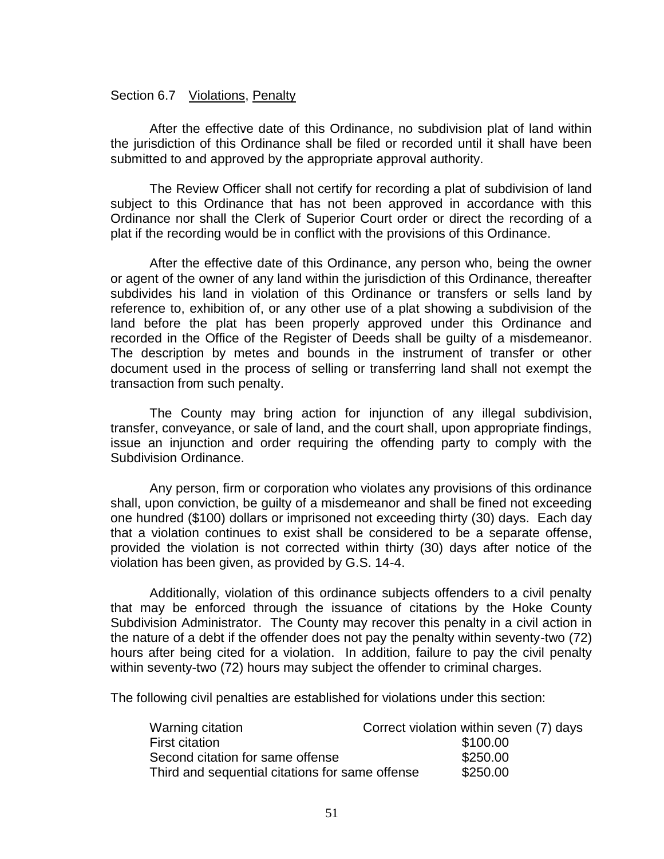## <span id="page-51-0"></span>Section 6.7 Violations, Penalty

After the effective date of this Ordinance, no subdivision plat of land within the jurisdiction of this Ordinance shall be filed or recorded until it shall have been submitted to and approved by the appropriate approval authority.

The Review Officer shall not certify for recording a plat of subdivision of land subject to this Ordinance that has not been approved in accordance with this Ordinance nor shall the Clerk of Superior Court order or direct the recording of a plat if the recording would be in conflict with the provisions of this Ordinance.

After the effective date of this Ordinance, any person who, being the owner or agent of the owner of any land within the jurisdiction of this Ordinance, thereafter subdivides his land in violation of this Ordinance or transfers or sells land by reference to, exhibition of, or any other use of a plat showing a subdivision of the land before the plat has been properly approved under this Ordinance and recorded in the Office of the Register of Deeds shall be guilty of a misdemeanor. The description by metes and bounds in the instrument of transfer or other document used in the process of selling or transferring land shall not exempt the transaction from such penalty.

The County may bring action for injunction of any illegal subdivision, transfer, conveyance, or sale of land, and the court shall, upon appropriate findings, issue an injunction and order requiring the offending party to comply with the Subdivision Ordinance.

Any person, firm or corporation who violates any provisions of this ordinance shall, upon conviction, be guilty of a misdemeanor and shall be fined not exceeding one hundred (\$100) dollars or imprisoned not exceeding thirty (30) days. Each day that a violation continues to exist shall be considered to be a separate offense, provided the violation is not corrected within thirty (30) days after notice of the violation has been given, as provided by G.S. 14-4.

Additionally, violation of this ordinance subjects offenders to a civil penalty that may be enforced through the issuance of citations by the Hoke County Subdivision Administrator. The County may recover this penalty in a civil action in the nature of a debt if the offender does not pay the penalty within seventy-two (72) hours after being cited for a violation. In addition, failure to pay the civil penalty within seventy-two (72) hours may subject the offender to criminal charges.

The following civil penalties are established for violations under this section:

| Warning citation                                | Correct violation within seven (7) days |
|-------------------------------------------------|-----------------------------------------|
| First citation                                  | \$100.00                                |
| Second citation for same offense                | \$250.00                                |
| Third and sequential citations for same offense | \$250.00                                |